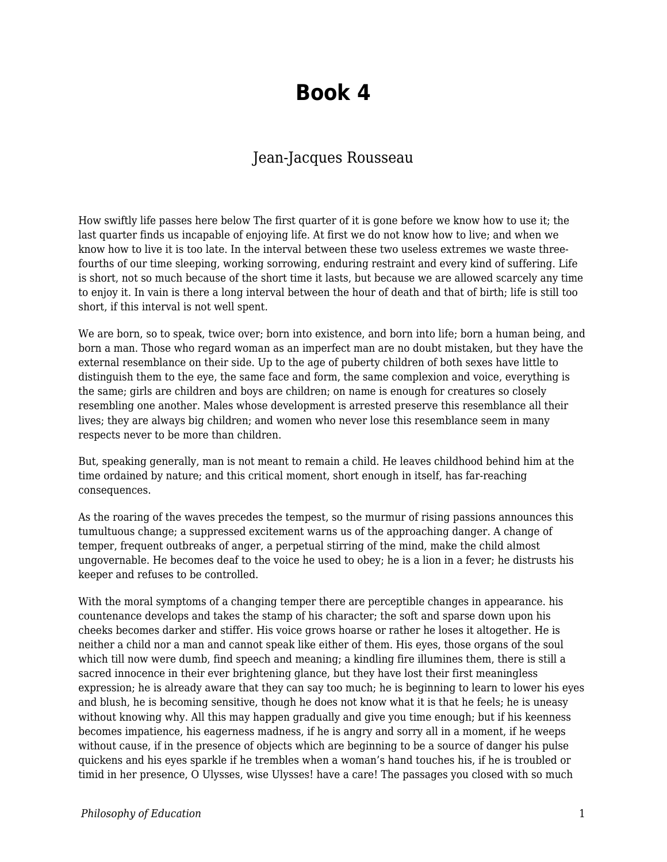# **Book 4**

### Jean-Jacques Rousseau

How swiftly life passes here below The first quarter of it is gone before we know how to use it; the last quarter finds us incapable of enjoying life. At first we do not know how to live; and when we know how to live it is too late. In the interval between these two useless extremes we waste threefourths of our time sleeping, working sorrowing, enduring restraint and every kind of suffering. Life is short, not so much because of the short time it lasts, but because we are allowed scarcely any time to enjoy it. In vain is there a long interval between the hour of death and that of birth; life is still too short, if this interval is not well spent.

We are born, so to speak, twice over; born into existence, and born into life; born a human being, and born a man. Those who regard woman as an imperfect man are no doubt mistaken, but they have the external resemblance on their side. Up to the age of puberty children of both sexes have little to distinguish them to the eye, the same face and form, the same complexion and voice, everything is the same; girls are children and boys are children; on name is enough for creatures so closely resembling one another. Males whose development is arrested preserve this resemblance all their lives; they are always big children; and women who never lose this resemblance seem in many respects never to be more than children.

But, speaking generally, man is not meant to remain a child. He leaves childhood behind him at the time ordained by nature; and this critical moment, short enough in itself, has far-reaching consequences.

As the roaring of the waves precedes the tempest, so the murmur of rising passions announces this tumultuous change; a suppressed excitement warns us of the approaching danger. A change of temper, frequent outbreaks of anger, a perpetual stirring of the mind, make the child almost ungovernable. He becomes deaf to the voice he used to obey; he is a lion in a fever; he distrusts his keeper and refuses to be controlled.

With the moral symptoms of a changing temper there are perceptible changes in appearance. his countenance develops and takes the stamp of his character; the soft and sparse down upon his cheeks becomes darker and stiffer. His voice grows hoarse or rather he loses it altogether. He is neither a child nor a man and cannot speak like either of them. His eyes, those organs of the soul which till now were dumb, find speech and meaning; a kindling fire illumines them, there is still a sacred innocence in their ever brightening glance, but they have lost their first meaningless expression; he is already aware that they can say too much; he is beginning to learn to lower his eyes and blush, he is becoming sensitive, though he does not know what it is that he feels; he is uneasy without knowing why. All this may happen gradually and give you time enough; but if his keenness becomes impatience, his eagerness madness, if he is angry and sorry all in a moment, if he weeps without cause, if in the presence of objects which are beginning to be a source of danger his pulse quickens and his eyes sparkle if he trembles when a woman's hand touches his, if he is troubled or timid in her presence, O Ulysses, wise Ulysses! have a care! The passages you closed with so much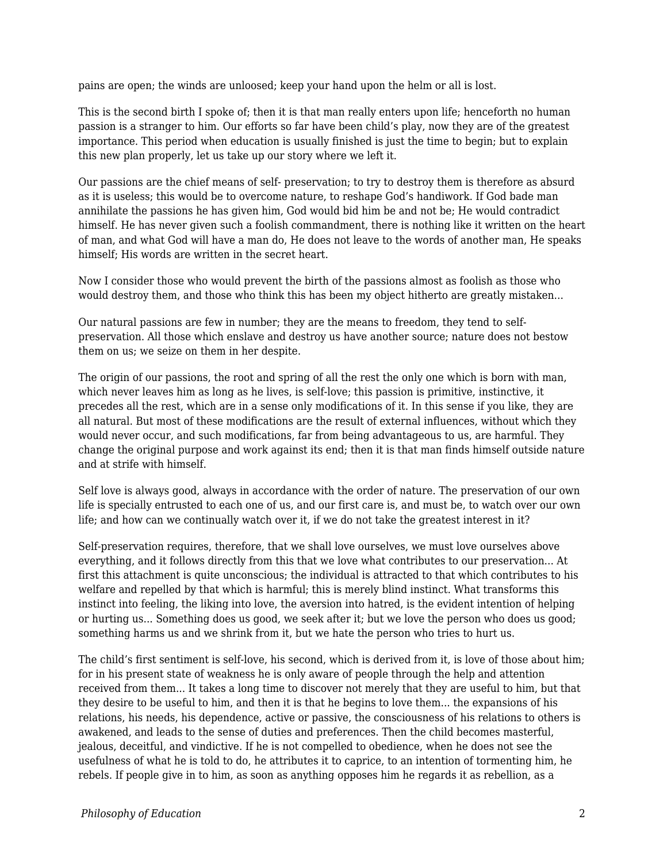pains are open; the winds are unloosed; keep your hand upon the helm or all is lost.

This is the second birth I spoke of; then it is that man really enters upon life; henceforth no human passion is a stranger to him. Our efforts so far have been child's play, now they are of the greatest importance. This period when education is usually finished is just the time to begin; but to explain this new plan properly, let us take up our story where we left it.

Our passions are the chief means of self- preservation; to try to destroy them is therefore as absurd as it is useless; this would be to overcome nature, to reshape God's handiwork. If God bade man annihilate the passions he has given him, God would bid him be and not be; He would contradict himself. He has never given such a foolish commandment, there is nothing like it written on the heart of man, and what God will have a man do, He does not leave to the words of another man, He speaks himself; His words are written in the secret heart.

Now I consider those who would prevent the birth of the passions almost as foolish as those who would destroy them, and those who think this has been my object hitherto are greatly mistaken...

Our natural passions are few in number; they are the means to freedom, they tend to selfpreservation. All those which enslave and destroy us have another source; nature does not bestow them on us; we seize on them in her despite.

The origin of our passions, the root and spring of all the rest the only one which is born with man, which never leaves him as long as he lives, is self-love; this passion is primitive, instinctive, it precedes all the rest, which are in a sense only modifications of it. In this sense if you like, they are all natural. But most of these modifications are the result of external influences, without which they would never occur, and such modifications, far from being advantageous to us, are harmful. They change the original purpose and work against its end; then it is that man finds himself outside nature and at strife with himself.

Self love is always good, always in accordance with the order of nature. The preservation of our own life is specially entrusted to each one of us, and our first care is, and must be, to watch over our own life; and how can we continually watch over it, if we do not take the greatest interest in it?

Self-preservation requires, therefore, that we shall love ourselves, we must love ourselves above everything, and it follows directly from this that we love what contributes to our preservation... At first this attachment is quite unconscious; the individual is attracted to that which contributes to his welfare and repelled by that which is harmful; this is merely blind instinct. What transforms this instinct into feeling, the liking into love, the aversion into hatred, is the evident intention of helping or hurting us... Something does us good, we seek after it; but we love the person who does us good; something harms us and we shrink from it, but we hate the person who tries to hurt us.

The child's first sentiment is self-love, his second, which is derived from it, is love of those about him; for in his present state of weakness he is only aware of people through the help and attention received from them... It takes a long time to discover not merely that they are useful to him, but that they desire to be useful to him, and then it is that he begins to love them... the expansions of his relations, his needs, his dependence, active or passive, the consciousness of his relations to others is awakened, and leads to the sense of duties and preferences. Then the child becomes masterful, jealous, deceitful, and vindictive. If he is not compelled to obedience, when he does not see the usefulness of what he is told to do, he attributes it to caprice, to an intention of tormenting him, he rebels. If people give in to him, as soon as anything opposes him he regards it as rebellion, as a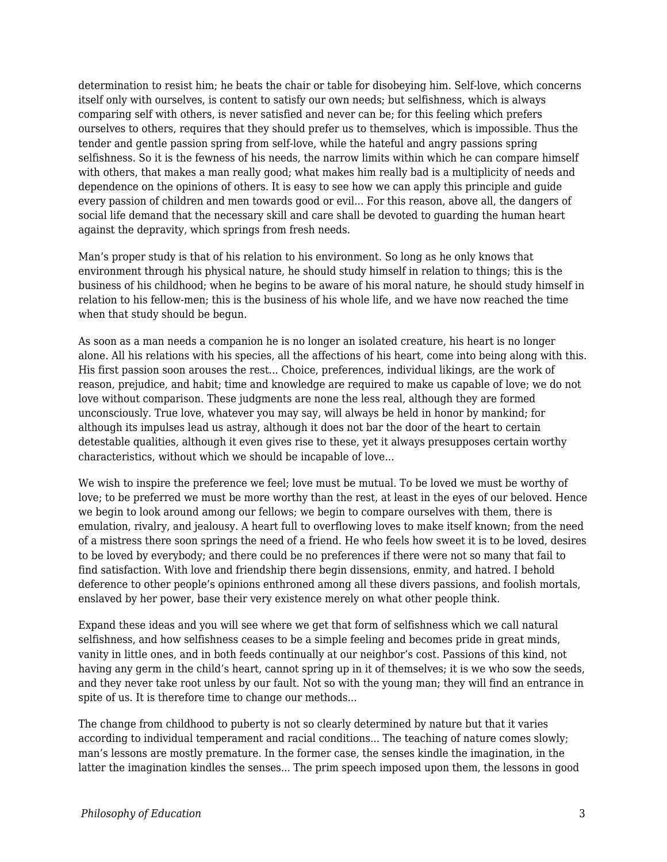determination to resist him; he beats the chair or table for disobeying him. Self-love, which concerns itself only with ourselves, is content to satisfy our own needs; but selfishness, which is always comparing self with others, is never satisfied and never can be; for this feeling which prefers ourselves to others, requires that they should prefer us to themselves, which is impossible. Thus the tender and gentle passion spring from self-love, while the hateful and angry passions spring selfishness. So it is the fewness of his needs, the narrow limits within which he can compare himself with others, that makes a man really good; what makes him really bad is a multiplicity of needs and dependence on the opinions of others. It is easy to see how we can apply this principle and guide every passion of children and men towards good or evil... For this reason, above all, the dangers of social life demand that the necessary skill and care shall be devoted to guarding the human heart against the depravity, which springs from fresh needs.

Man's proper study is that of his relation to his environment. So long as he only knows that environment through his physical nature, he should study himself in relation to things; this is the business of his childhood; when he begins to be aware of his moral nature, he should study himself in relation to his fellow-men; this is the business of his whole life, and we have now reached the time when that study should be begun.

As soon as a man needs a companion he is no longer an isolated creature, his heart is no longer alone. All his relations with his species, all the affections of his heart, come into being along with this. His first passion soon arouses the rest... Choice, preferences, individual likings, are the work of reason, prejudice, and habit; time and knowledge are required to make us capable of love; we do not love without comparison. These judgments are none the less real, although they are formed unconsciously. True love, whatever you may say, will always be held in honor by mankind; for although its impulses lead us astray, although it does not bar the door of the heart to certain detestable qualities, although it even gives rise to these, yet it always presupposes certain worthy characteristics, without which we should be incapable of love...

We wish to inspire the preference we feel; love must be mutual. To be loved we must be worthy of love; to be preferred we must be more worthy than the rest, at least in the eyes of our beloved. Hence we begin to look around among our fellows; we begin to compare ourselves with them, there is emulation, rivalry, and jealousy. A heart full to overflowing loves to make itself known; from the need of a mistress there soon springs the need of a friend. He who feels how sweet it is to be loved, desires to be loved by everybody; and there could be no preferences if there were not so many that fail to find satisfaction. With love and friendship there begin dissensions, enmity, and hatred. I behold deference to other people's opinions enthroned among all these divers passions, and foolish mortals, enslaved by her power, base their very existence merely on what other people think.

Expand these ideas and you will see where we get that form of selfishness which we call natural selfishness, and how selfishness ceases to be a simple feeling and becomes pride in great minds, vanity in little ones, and in both feeds continually at our neighbor's cost. Passions of this kind, not having any germ in the child's heart, cannot spring up in it of themselves; it is we who sow the seeds, and they never take root unless by our fault. Not so with the young man; they will find an entrance in spite of us. It is therefore time to change our methods...

The change from childhood to puberty is not so clearly determined by nature but that it varies according to individual temperament and racial conditions... The teaching of nature comes slowly; man's lessons are mostly premature. In the former case, the senses kindle the imagination, in the latter the imagination kindles the senses... The prim speech imposed upon them, the lessons in good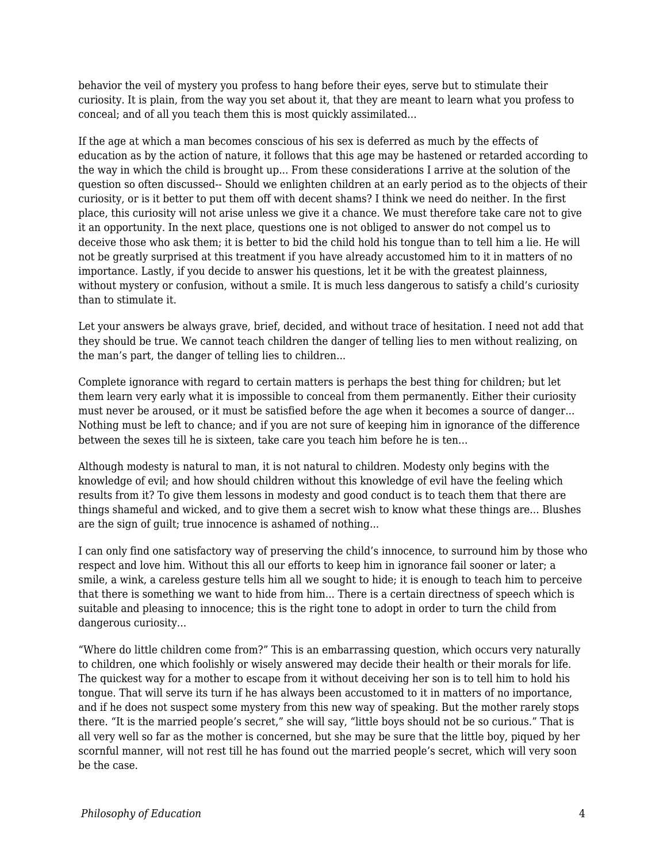behavior the veil of mystery you profess to hang before their eyes, serve but to stimulate their curiosity. It is plain, from the way you set about it, that they are meant to learn what you profess to conceal; and of all you teach them this is most quickly assimilated...

If the age at which a man becomes conscious of his sex is deferred as much by the effects of education as by the action of nature, it follows that this age may be hastened or retarded according to the way in which the child is brought up... From these considerations I arrive at the solution of the question so often discussed-- Should we enlighten children at an early period as to the objects of their curiosity, or is it better to put them off with decent shams? I think we need do neither. In the first place, this curiosity will not arise unless we give it a chance. We must therefore take care not to give it an opportunity. In the next place, questions one is not obliged to answer do not compel us to deceive those who ask them; it is better to bid the child hold his tongue than to tell him a lie. He will not be greatly surprised at this treatment if you have already accustomed him to it in matters of no importance. Lastly, if you decide to answer his questions, let it be with the greatest plainness, without mystery or confusion, without a smile. It is much less dangerous to satisfy a child's curiosity than to stimulate it.

Let your answers be always grave, brief, decided, and without trace of hesitation. I need not add that they should be true. We cannot teach children the danger of telling lies to men without realizing, on the man's part, the danger of telling lies to children...

Complete ignorance with regard to certain matters is perhaps the best thing for children; but let them learn very early what it is impossible to conceal from them permanently. Either their curiosity must never be aroused, or it must be satisfied before the age when it becomes a source of danger... Nothing must be left to chance; and if you are not sure of keeping him in ignorance of the difference between the sexes till he is sixteen, take care you teach him before he is ten...

Although modesty is natural to man, it is not natural to children. Modesty only begins with the knowledge of evil; and how should children without this knowledge of evil have the feeling which results from it? To give them lessons in modesty and good conduct is to teach them that there are things shameful and wicked, and to give them a secret wish to know what these things are... Blushes are the sign of guilt; true innocence is ashamed of nothing...

I can only find one satisfactory way of preserving the child's innocence, to surround him by those who respect and love him. Without this all our efforts to keep him in ignorance fail sooner or later; a smile, a wink, a careless gesture tells him all we sought to hide; it is enough to teach him to perceive that there is something we want to hide from him... There is a certain directness of speech which is suitable and pleasing to innocence; this is the right tone to adopt in order to turn the child from dangerous curiosity...

"Where do little children come from?" This is an embarrassing question, which occurs very naturally to children, one which foolishly or wisely answered may decide their health or their morals for life. The quickest way for a mother to escape from it without deceiving her son is to tell him to hold his tongue. That will serve its turn if he has always been accustomed to it in matters of no importance, and if he does not suspect some mystery from this new way of speaking. But the mother rarely stops there. "It is the married people's secret," she will say, "little boys should not be so curious." That is all very well so far as the mother is concerned, but she may be sure that the little boy, piqued by her scornful manner, will not rest till he has found out the married people's secret, which will very soon be the case.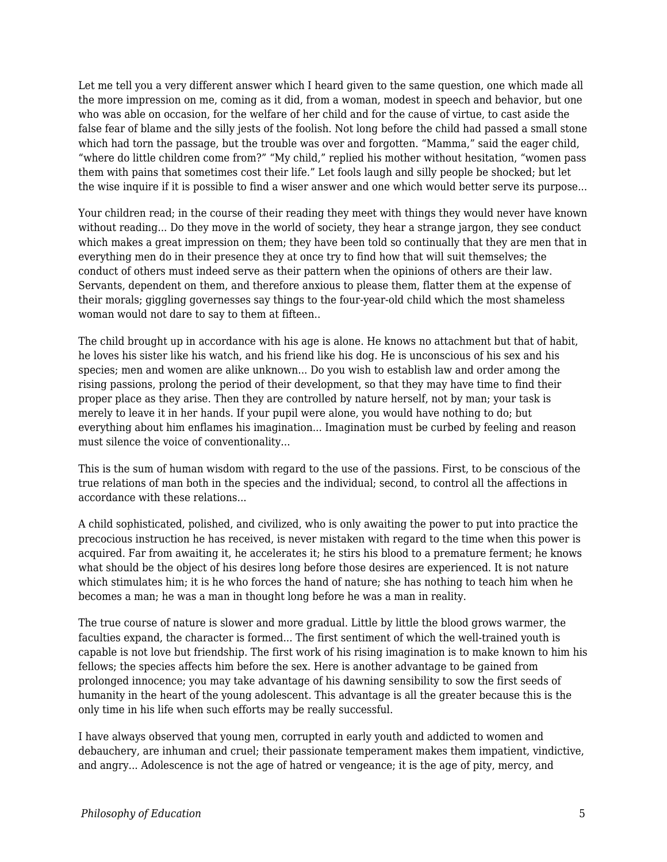Let me tell you a very different answer which I heard given to the same question, one which made all the more impression on me, coming as it did, from a woman, modest in speech and behavior, but one who was able on occasion, for the welfare of her child and for the cause of virtue, to cast aside the false fear of blame and the silly jests of the foolish. Not long before the child had passed a small stone which had torn the passage, but the trouble was over and forgotten. "Mamma," said the eager child, "where do little children come from?" "My child," replied his mother without hesitation, "women pass them with pains that sometimes cost their life." Let fools laugh and silly people be shocked; but let the wise inquire if it is possible to find a wiser answer and one which would better serve its purpose...

Your children read; in the course of their reading they meet with things they would never have known without reading... Do they move in the world of society, they hear a strange jargon, they see conduct which makes a great impression on them; they have been told so continually that they are men that in everything men do in their presence they at once try to find how that will suit themselves; the conduct of others must indeed serve as their pattern when the opinions of others are their law. Servants, dependent on them, and therefore anxious to please them, flatter them at the expense of their morals; giggling governesses say things to the four-year-old child which the most shameless woman would not dare to say to them at fifteen..

The child brought up in accordance with his age is alone. He knows no attachment but that of habit, he loves his sister like his watch, and his friend like his dog. He is unconscious of his sex and his species; men and women are alike unknown... Do you wish to establish law and order among the rising passions, prolong the period of their development, so that they may have time to find their proper place as they arise. Then they are controlled by nature herself, not by man; your task is merely to leave it in her hands. If your pupil were alone, you would have nothing to do; but everything about him enflames his imagination... Imagination must be curbed by feeling and reason must silence the voice of conventionality...

This is the sum of human wisdom with regard to the use of the passions. First, to be conscious of the true relations of man both in the species and the individual; second, to control all the affections in accordance with these relations...

A child sophisticated, polished, and civilized, who is only awaiting the power to put into practice the precocious instruction he has received, is never mistaken with regard to the time when this power is acquired. Far from awaiting it, he accelerates it; he stirs his blood to a premature ferment; he knows what should be the object of his desires long before those desires are experienced. It is not nature which stimulates him; it is he who forces the hand of nature; she has nothing to teach him when he becomes a man; he was a man in thought long before he was a man in reality.

The true course of nature is slower and more gradual. Little by little the blood grows warmer, the faculties expand, the character is formed... The first sentiment of which the well-trained youth is capable is not love but friendship. The first work of his rising imagination is to make known to him his fellows; the species affects him before the sex. Here is another advantage to be gained from prolonged innocence; you may take advantage of his dawning sensibility to sow the first seeds of humanity in the heart of the young adolescent. This advantage is all the greater because this is the only time in his life when such efforts may be really successful.

I have always observed that young men, corrupted in early youth and addicted to women and debauchery, are inhuman and cruel; their passionate temperament makes them impatient, vindictive, and angry... Adolescence is not the age of hatred or vengeance; it is the age of pity, mercy, and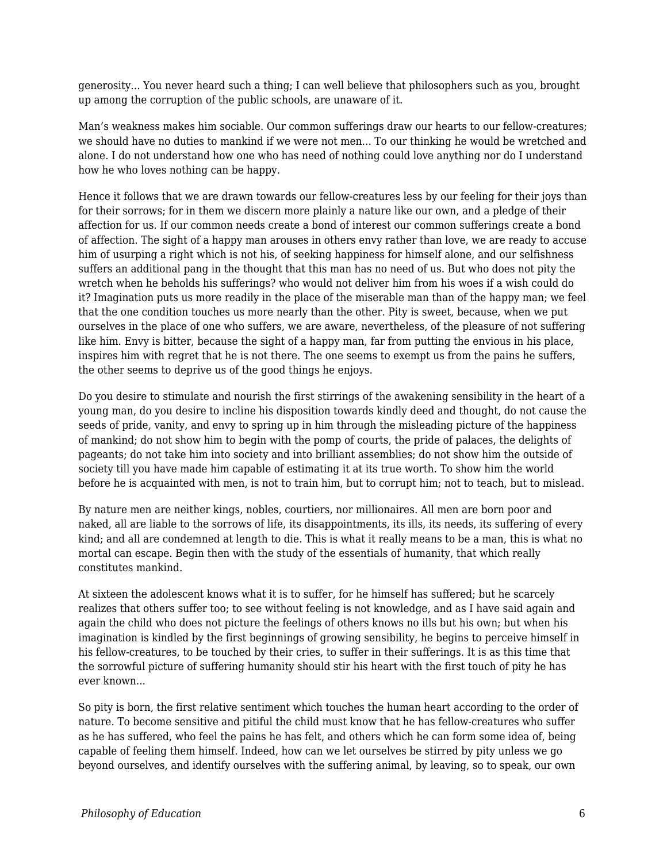generosity... You never heard such a thing; I can well believe that philosophers such as you, brought up among the corruption of the public schools, are unaware of it.

Man's weakness makes him sociable. Our common sufferings draw our hearts to our fellow-creatures; we should have no duties to mankind if we were not men... To our thinking he would be wretched and alone. I do not understand how one who has need of nothing could love anything nor do I understand how he who loves nothing can be happy.

Hence it follows that we are drawn towards our fellow-creatures less by our feeling for their joys than for their sorrows; for in them we discern more plainly a nature like our own, and a pledge of their affection for us. If our common needs create a bond of interest our common sufferings create a bond of affection. The sight of a happy man arouses in others envy rather than love, we are ready to accuse him of usurping a right which is not his, of seeking happiness for himself alone, and our selfishness suffers an additional pang in the thought that this man has no need of us. But who does not pity the wretch when he beholds his sufferings? who would not deliver him from his woes if a wish could do it? Imagination puts us more readily in the place of the miserable man than of the happy man; we feel that the one condition touches us more nearly than the other. Pity is sweet, because, when we put ourselves in the place of one who suffers, we are aware, nevertheless, of the pleasure of not suffering like him. Envy is bitter, because the sight of a happy man, far from putting the envious in his place, inspires him with regret that he is not there. The one seems to exempt us from the pains he suffers, the other seems to deprive us of the good things he enjoys.

Do you desire to stimulate and nourish the first stirrings of the awakening sensibility in the heart of a young man, do you desire to incline his disposition towards kindly deed and thought, do not cause the seeds of pride, vanity, and envy to spring up in him through the misleading picture of the happiness of mankind; do not show him to begin with the pomp of courts, the pride of palaces, the delights of pageants; do not take him into society and into brilliant assemblies; do not show him the outside of society till you have made him capable of estimating it at its true worth. To show him the world before he is acquainted with men, is not to train him, but to corrupt him; not to teach, but to mislead.

By nature men are neither kings, nobles, courtiers, nor millionaires. All men are born poor and naked, all are liable to the sorrows of life, its disappointments, its ills, its needs, its suffering of every kind; and all are condemned at length to die. This is what it really means to be a man, this is what no mortal can escape. Begin then with the study of the essentials of humanity, that which really constitutes mankind.

At sixteen the adolescent knows what it is to suffer, for he himself has suffered; but he scarcely realizes that others suffer too; to see without feeling is not knowledge, and as I have said again and again the child who does not picture the feelings of others knows no ills but his own; but when his imagination is kindled by the first beginnings of growing sensibility, he begins to perceive himself in his fellow-creatures, to be touched by their cries, to suffer in their sufferings. It is as this time that the sorrowful picture of suffering humanity should stir his heart with the first touch of pity he has ever known...

So pity is born, the first relative sentiment which touches the human heart according to the order of nature. To become sensitive and pitiful the child must know that he has fellow-creatures who suffer as he has suffered, who feel the pains he has felt, and others which he can form some idea of, being capable of feeling them himself. Indeed, how can we let ourselves be stirred by pity unless we go beyond ourselves, and identify ourselves with the suffering animal, by leaving, so to speak, our own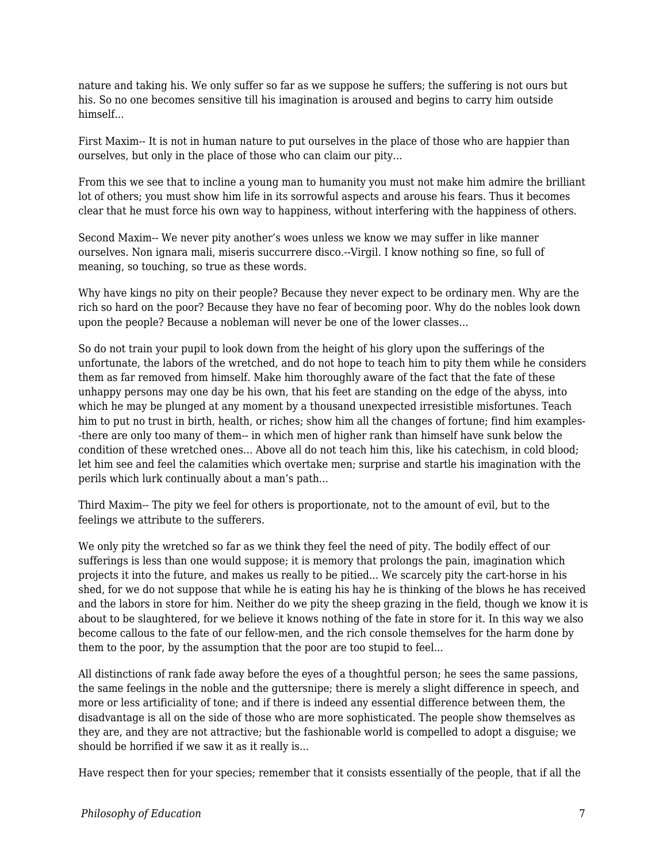nature and taking his. We only suffer so far as we suppose he suffers; the suffering is not ours but his. So no one becomes sensitive till his imagination is aroused and begins to carry him outside himself...

First Maxim-- It is not in human nature to put ourselves in the place of those who are happier than ourselves, but only in the place of those who can claim our pity...

From this we see that to incline a young man to humanity you must not make him admire the brilliant lot of others; you must show him life in its sorrowful aspects and arouse his fears. Thus it becomes clear that he must force his own way to happiness, without interfering with the happiness of others.

Second Maxim-- We never pity another's woes unless we know we may suffer in like manner ourselves. Non ignara mali, miseris succurrere disco.--Virgil. I know nothing so fine, so full of meaning, so touching, so true as these words.

Why have kings no pity on their people? Because they never expect to be ordinary men. Why are the rich so hard on the poor? Because they have no fear of becoming poor. Why do the nobles look down upon the people? Because a nobleman will never be one of the lower classes...

So do not train your pupil to look down from the height of his glory upon the sufferings of the unfortunate, the labors of the wretched, and do not hope to teach him to pity them while he considers them as far removed from himself. Make him thoroughly aware of the fact that the fate of these unhappy persons may one day be his own, that his feet are standing on the edge of the abyss, into which he may be plunged at any moment by a thousand unexpected irresistible misfortunes. Teach him to put no trust in birth, health, or riches; show him all the changes of fortune; find him examples- -there are only too many of them-- in which men of higher rank than himself have sunk below the condition of these wretched ones... Above all do not teach him this, like his catechism, in cold blood; let him see and feel the calamities which overtake men; surprise and startle his imagination with the perils which lurk continually about a man's path...

Third Maxim-- The pity we feel for others is proportionate, not to the amount of evil, but to the feelings we attribute to the sufferers.

We only pity the wretched so far as we think they feel the need of pity. The bodily effect of our sufferings is less than one would suppose; it is memory that prolongs the pain, imagination which projects it into the future, and makes us really to be pitied... We scarcely pity the cart-horse in his shed, for we do not suppose that while he is eating his hay he is thinking of the blows he has received and the labors in store for him. Neither do we pity the sheep grazing in the field, though we know it is about to be slaughtered, for we believe it knows nothing of the fate in store for it. In this way we also become callous to the fate of our fellow-men, and the rich console themselves for the harm done by them to the poor, by the assumption that the poor are too stupid to feel...

All distinctions of rank fade away before the eyes of a thoughtful person; he sees the same passions, the same feelings in the noble and the guttersnipe; there is merely a slight difference in speech, and more or less artificiality of tone; and if there is indeed any essential difference between them, the disadvantage is all on the side of those who are more sophisticated. The people show themselves as they are, and they are not attractive; but the fashionable world is compelled to adopt a disguise; we should be horrified if we saw it as it really is...

Have respect then for your species; remember that it consists essentially of the people, that if all the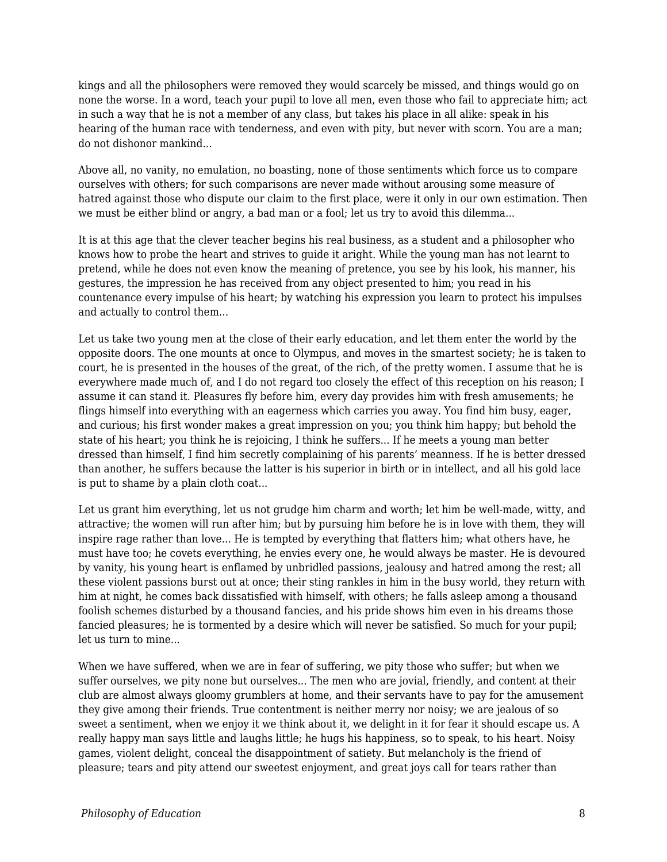kings and all the philosophers were removed they would scarcely be missed, and things would go on none the worse. In a word, teach your pupil to love all men, even those who fail to appreciate him; act in such a way that he is not a member of any class, but takes his place in all alike: speak in his hearing of the human race with tenderness, and even with pity, but never with scorn. You are a man; do not dishonor mankind...

Above all, no vanity, no emulation, no boasting, none of those sentiments which force us to compare ourselves with others; for such comparisons are never made without arousing some measure of hatred against those who dispute our claim to the first place, were it only in our own estimation. Then we must be either blind or angry, a bad man or a fool; let us try to avoid this dilemma...

It is at this age that the clever teacher begins his real business, as a student and a philosopher who knows how to probe the heart and strives to guide it aright. While the young man has not learnt to pretend, while he does not even know the meaning of pretence, you see by his look, his manner, his gestures, the impression he has received from any object presented to him; you read in his countenance every impulse of his heart; by watching his expression you learn to protect his impulses and actually to control them...

Let us take two young men at the close of their early education, and let them enter the world by the opposite doors. The one mounts at once to Olympus, and moves in the smartest society; he is taken to court, he is presented in the houses of the great, of the rich, of the pretty women. I assume that he is everywhere made much of, and I do not regard too closely the effect of this reception on his reason; I assume it can stand it. Pleasures fly before him, every day provides him with fresh amusements; he flings himself into everything with an eagerness which carries you away. You find him busy, eager, and curious; his first wonder makes a great impression on you; you think him happy; but behold the state of his heart; you think he is rejoicing, I think he suffers... If he meets a young man better dressed than himself, I find him secretly complaining of his parents' meanness. If he is better dressed than another, he suffers because the latter is his superior in birth or in intellect, and all his gold lace is put to shame by a plain cloth coat...

Let us grant him everything, let us not grudge him charm and worth; let him be well-made, witty, and attractive; the women will run after him; but by pursuing him before he is in love with them, they will inspire rage rather than love... He is tempted by everything that flatters him; what others have, he must have too; he covets everything, he envies every one, he would always be master. He is devoured by vanity, his young heart is enflamed by unbridled passions, jealousy and hatred among the rest; all these violent passions burst out at once; their sting rankles in him in the busy world, they return with him at night, he comes back dissatisfied with himself, with others; he falls asleep among a thousand foolish schemes disturbed by a thousand fancies, and his pride shows him even in his dreams those fancied pleasures; he is tormented by a desire which will never be satisfied. So much for your pupil; let us turn to mine...

When we have suffered, when we are in fear of suffering, we pity those who suffer; but when we suffer ourselves, we pity none but ourselves... The men who are jovial, friendly, and content at their club are almost always gloomy grumblers at home, and their servants have to pay for the amusement they give among their friends. True contentment is neither merry nor noisy; we are jealous of so sweet a sentiment, when we enjoy it we think about it, we delight in it for fear it should escape us. A really happy man says little and laughs little; he hugs his happiness, so to speak, to his heart. Noisy games, violent delight, conceal the disappointment of satiety. But melancholy is the friend of pleasure; tears and pity attend our sweetest enjoyment, and great joys call for tears rather than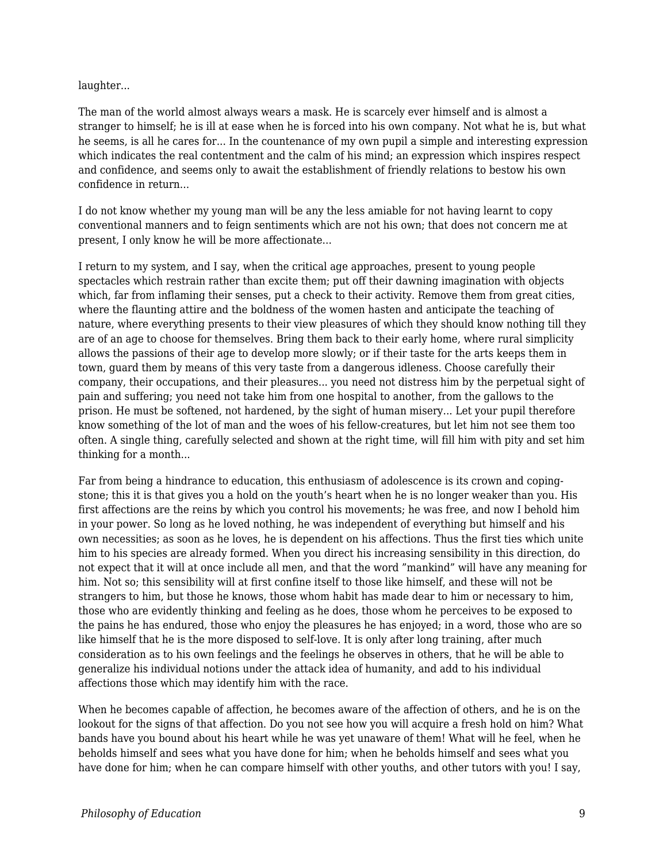#### laughter...

The man of the world almost always wears a mask. He is scarcely ever himself and is almost a stranger to himself; he is ill at ease when he is forced into his own company. Not what he is, but what he seems, is all he cares for... In the countenance of my own pupil a simple and interesting expression which indicates the real contentment and the calm of his mind; an expression which inspires respect and confidence, and seems only to await the establishment of friendly relations to bestow his own confidence in return...

I do not know whether my young man will be any the less amiable for not having learnt to copy conventional manners and to feign sentiments which are not his own; that does not concern me at present, I only know he will be more affectionate...

I return to my system, and I say, when the critical age approaches, present to young people spectacles which restrain rather than excite them; put off their dawning imagination with objects which, far from inflaming their senses, put a check to their activity. Remove them from great cities, where the flaunting attire and the boldness of the women hasten and anticipate the teaching of nature, where everything presents to their view pleasures of which they should know nothing till they are of an age to choose for themselves. Bring them back to their early home, where rural simplicity allows the passions of their age to develop more slowly; or if their taste for the arts keeps them in town, guard them by means of this very taste from a dangerous idleness. Choose carefully their company, their occupations, and their pleasures... you need not distress him by the perpetual sight of pain and suffering; you need not take him from one hospital to another, from the gallows to the prison. He must be softened, not hardened, by the sight of human misery... Let your pupil therefore know something of the lot of man and the woes of his fellow-creatures, but let him not see them too often. A single thing, carefully selected and shown at the right time, will fill him with pity and set him thinking for a month...

Far from being a hindrance to education, this enthusiasm of adolescence is its crown and copingstone; this it is that gives you a hold on the youth's heart when he is no longer weaker than you. His first affections are the reins by which you control his movements; he was free, and now I behold him in your power. So long as he loved nothing, he was independent of everything but himself and his own necessities; as soon as he loves, he is dependent on his affections. Thus the first ties which unite him to his species are already formed. When you direct his increasing sensibility in this direction, do not expect that it will at once include all men, and that the word "mankind" will have any meaning for him. Not so; this sensibility will at first confine itself to those like himself, and these will not be strangers to him, but those he knows, those whom habit has made dear to him or necessary to him, those who are evidently thinking and feeling as he does, those whom he perceives to be exposed to the pains he has endured, those who enjoy the pleasures he has enjoyed; in a word, those who are so like himself that he is the more disposed to self-love. It is only after long training, after much consideration as to his own feelings and the feelings he observes in others, that he will be able to generalize his individual notions under the attack idea of humanity, and add to his individual affections those which may identify him with the race.

When he becomes capable of affection, he becomes aware of the affection of others, and he is on the lookout for the signs of that affection. Do you not see how you will acquire a fresh hold on him? What bands have you bound about his heart while he was yet unaware of them! What will he feel, when he beholds himself and sees what you have done for him; when he beholds himself and sees what you have done for him; when he can compare himself with other youths, and other tutors with you! I say,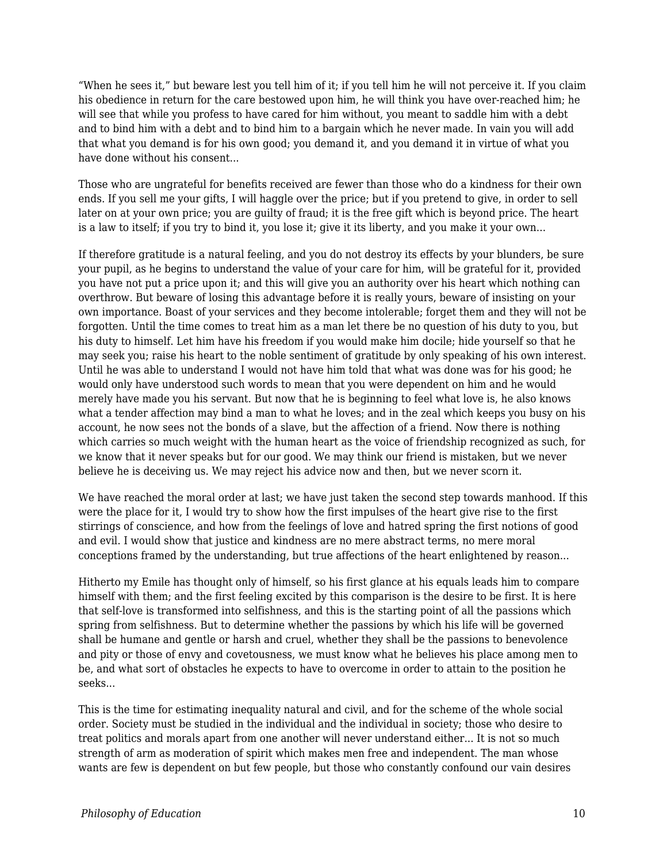"When he sees it," but beware lest you tell him of it; if you tell him he will not perceive it. If you claim his obedience in return for the care bestowed upon him, he will think you have over-reached him; he will see that while you profess to have cared for him without, you meant to saddle him with a debt and to bind him with a debt and to bind him to a bargain which he never made. In vain you will add that what you demand is for his own good; you demand it, and you demand it in virtue of what you have done without his consent...

Those who are ungrateful for benefits received are fewer than those who do a kindness for their own ends. If you sell me your gifts, I will haggle over the price; but if you pretend to give, in order to sell later on at your own price; you are guilty of fraud; it is the free gift which is beyond price. The heart is a law to itself; if you try to bind it, you lose it; give it its liberty, and you make it your own...

If therefore gratitude is a natural feeling, and you do not destroy its effects by your blunders, be sure your pupil, as he begins to understand the value of your care for him, will be grateful for it, provided you have not put a price upon it; and this will give you an authority over his heart which nothing can overthrow. But beware of losing this advantage before it is really yours, beware of insisting on your own importance. Boast of your services and they become intolerable; forget them and they will not be forgotten. Until the time comes to treat him as a man let there be no question of his duty to you, but his duty to himself. Let him have his freedom if you would make him docile; hide yourself so that he may seek you; raise his heart to the noble sentiment of gratitude by only speaking of his own interest. Until he was able to understand I would not have him told that what was done was for his good; he would only have understood such words to mean that you were dependent on him and he would merely have made you his servant. But now that he is beginning to feel what love is, he also knows what a tender affection may bind a man to what he loves; and in the zeal which keeps you busy on his account, he now sees not the bonds of a slave, but the affection of a friend. Now there is nothing which carries so much weight with the human heart as the voice of friendship recognized as such, for we know that it never speaks but for our good. We may think our friend is mistaken, but we never believe he is deceiving us. We may reject his advice now and then, but we never scorn it.

We have reached the moral order at last; we have just taken the second step towards manhood. If this were the place for it, I would try to show how the first impulses of the heart give rise to the first stirrings of conscience, and how from the feelings of love and hatred spring the first notions of good and evil. I would show that justice and kindness are no mere abstract terms, no mere moral conceptions framed by the understanding, but true affections of the heart enlightened by reason...

Hitherto my Emile has thought only of himself, so his first glance at his equals leads him to compare himself with them; and the first feeling excited by this comparison is the desire to be first. It is here that self-love is transformed into selfishness, and this is the starting point of all the passions which spring from selfishness. But to determine whether the passions by which his life will be governed shall be humane and gentle or harsh and cruel, whether they shall be the passions to benevolence and pity or those of envy and covetousness, we must know what he believes his place among men to be, and what sort of obstacles he expects to have to overcome in order to attain to the position he seeks...

This is the time for estimating inequality natural and civil, and for the scheme of the whole social order. Society must be studied in the individual and the individual in society; those who desire to treat politics and morals apart from one another will never understand either... It is not so much strength of arm as moderation of spirit which makes men free and independent. The man whose wants are few is dependent on but few people, but those who constantly confound our vain desires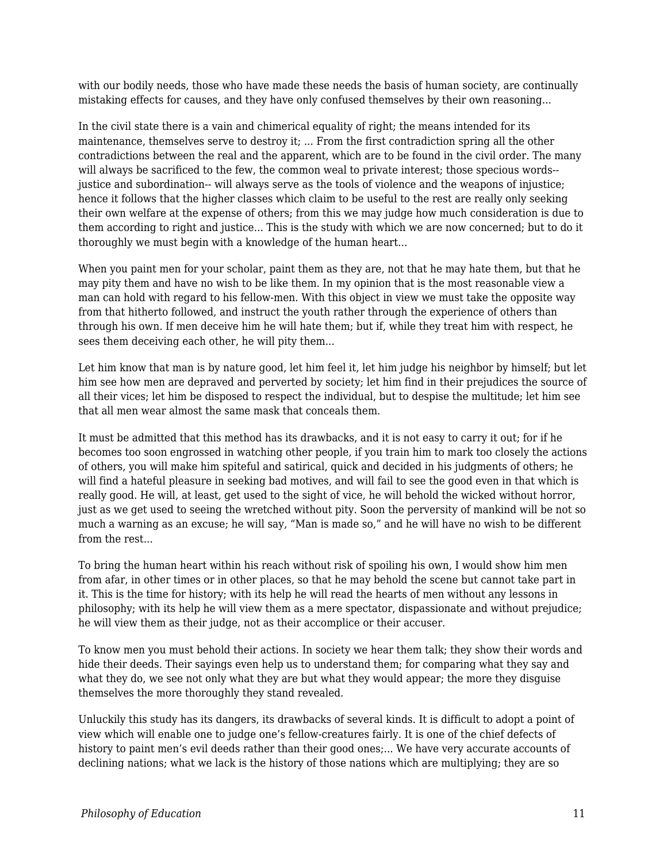with our bodily needs, those who have made these needs the basis of human society, are continually mistaking effects for causes, and they have only confused themselves by their own reasoning...

In the civil state there is a vain and chimerical equality of right; the means intended for its maintenance, themselves serve to destroy it; ... From the first contradiction spring all the other contradictions between the real and the apparent, which are to be found in the civil order. The many will always be sacrificed to the few, the common weal to private interest; those specious words- justice and subordination-- will always serve as the tools of violence and the weapons of injustice; hence it follows that the higher classes which claim to be useful to the rest are really only seeking their own welfare at the expense of others; from this we may judge how much consideration is due to them according to right and justice... This is the study with which we are now concerned; but to do it thoroughly we must begin with a knowledge of the human heart...

When you paint men for your scholar, paint them as they are, not that he may hate them, but that he may pity them and have no wish to be like them. In my opinion that is the most reasonable view a man can hold with regard to his fellow-men. With this object in view we must take the opposite way from that hitherto followed, and instruct the youth rather through the experience of others than through his own. If men deceive him he will hate them; but if, while they treat him with respect, he sees them deceiving each other, he will pity them...

Let him know that man is by nature good, let him feel it, let him judge his neighbor by himself; but let him see how men are depraved and perverted by society; let him find in their prejudices the source of all their vices; let him be disposed to respect the individual, but to despise the multitude; let him see that all men wear almost the same mask that conceals them.

It must be admitted that this method has its drawbacks, and it is not easy to carry it out; for if he becomes too soon engrossed in watching other people, if you train him to mark too closely the actions of others, you will make him spiteful and satirical, quick and decided in his judgments of others; he will find a hateful pleasure in seeking bad motives, and will fail to see the good even in that which is really good. He will, at least, get used to the sight of vice, he will behold the wicked without horror, just as we get used to seeing the wretched without pity. Soon the perversity of mankind will be not so much a warning as an excuse; he will say, "Man is made so," and he will have no wish to be different from the rest...

To bring the human heart within his reach without risk of spoiling his own, I would show him men from afar, in other times or in other places, so that he may behold the scene but cannot take part in it. This is the time for history; with its help he will read the hearts of men without any lessons in philosophy; with its help he will view them as a mere spectator, dispassionate and without prejudice; he will view them as their judge, not as their accomplice or their accuser.

To know men you must behold their actions. In society we hear them talk; they show their words and hide their deeds. Their sayings even help us to understand them; for comparing what they say and what they do, we see not only what they are but what they would appear; the more they disguise themselves the more thoroughly they stand revealed.

Unluckily this study has its dangers, its drawbacks of several kinds. It is difficult to adopt a point of view which will enable one to judge one's fellow-creatures fairly. It is one of the chief defects of history to paint men's evil deeds rather than their good ones;... We have very accurate accounts of declining nations; what we lack is the history of those nations which are multiplying; they are so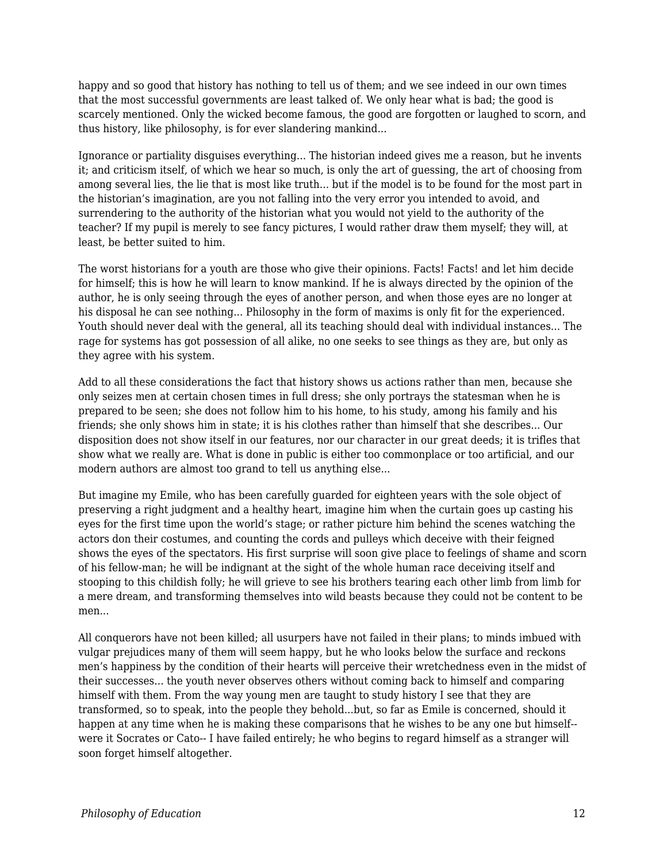happy and so good that history has nothing to tell us of them; and we see indeed in our own times that the most successful governments are least talked of. We only hear what is bad; the good is scarcely mentioned. Only the wicked become famous, the good are forgotten or laughed to scorn, and thus history, like philosophy, is for ever slandering mankind...

Ignorance or partiality disguises everything... The historian indeed gives me a reason, but he invents it; and criticism itself, of which we hear so much, is only the art of guessing, the art of choosing from among several lies, the lie that is most like truth... but if the model is to be found for the most part in the historian's imagination, are you not falling into the very error you intended to avoid, and surrendering to the authority of the historian what you would not yield to the authority of the teacher? If my pupil is merely to see fancy pictures, I would rather draw them myself; they will, at least, be better suited to him.

The worst historians for a youth are those who give their opinions. Facts! Facts! and let him decide for himself; this is how he will learn to know mankind. If he is always directed by the opinion of the author, he is only seeing through the eyes of another person, and when those eyes are no longer at his disposal he can see nothing... Philosophy in the form of maxims is only fit for the experienced. Youth should never deal with the general, all its teaching should deal with individual instances... The rage for systems has got possession of all alike, no one seeks to see things as they are, but only as they agree with his system.

Add to all these considerations the fact that history shows us actions rather than men, because she only seizes men at certain chosen times in full dress; she only portrays the statesman when he is prepared to be seen; she does not follow him to his home, to his study, among his family and his friends; she only shows him in state; it is his clothes rather than himself that she describes... Our disposition does not show itself in our features, nor our character in our great deeds; it is trifles that show what we really are. What is done in public is either too commonplace or too artificial, and our modern authors are almost too grand to tell us anything else...

But imagine my Emile, who has been carefully guarded for eighteen years with the sole object of preserving a right judgment and a healthy heart, imagine him when the curtain goes up casting his eyes for the first time upon the world's stage; or rather picture him behind the scenes watching the actors don their costumes, and counting the cords and pulleys which deceive with their feigned shows the eyes of the spectators. His first surprise will soon give place to feelings of shame and scorn of his fellow-man; he will be indignant at the sight of the whole human race deceiving itself and stooping to this childish folly; he will grieve to see his brothers tearing each other limb from limb for a mere dream, and transforming themselves into wild beasts because they could not be content to be men...

All conquerors have not been killed; all usurpers have not failed in their plans; to minds imbued with vulgar prejudices many of them will seem happy, but he who looks below the surface and reckons men's happiness by the condition of their hearts will perceive their wretchedness even in the midst of their successes... the youth never observes others without coming back to himself and comparing himself with them. From the way young men are taught to study history I see that they are transformed, so to speak, into the people they behold...but, so far as Emile is concerned, should it happen at any time when he is making these comparisons that he wishes to be any one but himself- were it Socrates or Cato-- I have failed entirely; he who begins to regard himself as a stranger will soon forget himself altogether.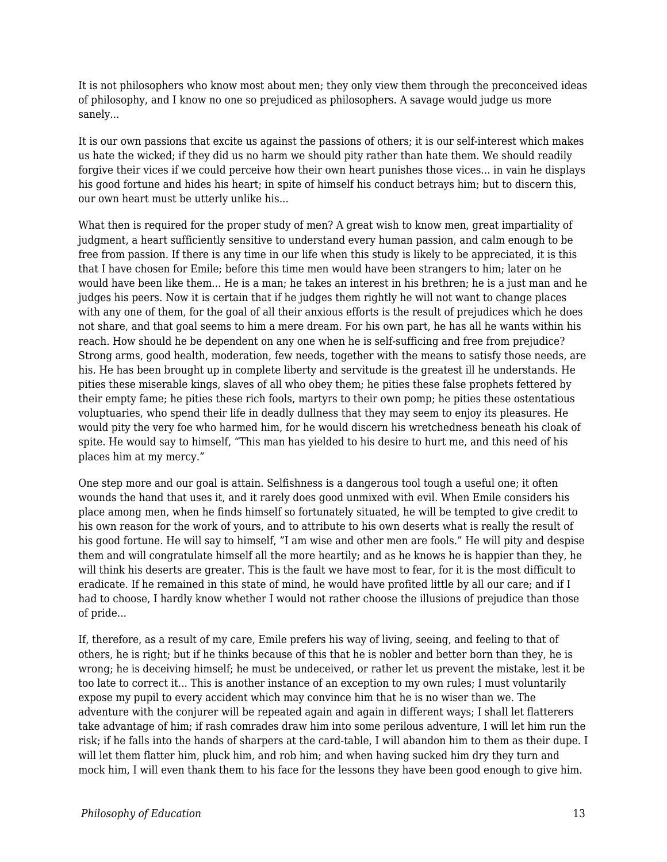It is not philosophers who know most about men; they only view them through the preconceived ideas of philosophy, and I know no one so prejudiced as philosophers. A savage would judge us more sanely...

It is our own passions that excite us against the passions of others; it is our self-interest which makes us hate the wicked; if they did us no harm we should pity rather than hate them. We should readily forgive their vices if we could perceive how their own heart punishes those vices... in vain he displays his good fortune and hides his heart; in spite of himself his conduct betrays him; but to discern this, our own heart must be utterly unlike his...

What then is required for the proper study of men? A great wish to know men, great impartiality of judgment, a heart sufficiently sensitive to understand every human passion, and calm enough to be free from passion. If there is any time in our life when this study is likely to be appreciated, it is this that I have chosen for Emile; before this time men would have been strangers to him; later on he would have been like them... He is a man; he takes an interest in his brethren; he is a just man and he judges his peers. Now it is certain that if he judges them rightly he will not want to change places with any one of them, for the goal of all their anxious efforts is the result of prejudices which he does not share, and that goal seems to him a mere dream. For his own part, he has all he wants within his reach. How should he be dependent on any one when he is self-sufficing and free from prejudice? Strong arms, good health, moderation, few needs, together with the means to satisfy those needs, are his. He has been brought up in complete liberty and servitude is the greatest ill he understands. He pities these miserable kings, slaves of all who obey them; he pities these false prophets fettered by their empty fame; he pities these rich fools, martyrs to their own pomp; he pities these ostentatious voluptuaries, who spend their life in deadly dullness that they may seem to enjoy its pleasures. He would pity the very foe who harmed him, for he would discern his wretchedness beneath his cloak of spite. He would say to himself, "This man has yielded to his desire to hurt me, and this need of his places him at my mercy."

One step more and our goal is attain. Selfishness is a dangerous tool tough a useful one; it often wounds the hand that uses it, and it rarely does good unmixed with evil. When Emile considers his place among men, when he finds himself so fortunately situated, he will be tempted to give credit to his own reason for the work of yours, and to attribute to his own deserts what is really the result of his good fortune. He will say to himself, "I am wise and other men are fools." He will pity and despise them and will congratulate himself all the more heartily; and as he knows he is happier than they, he will think his deserts are greater. This is the fault we have most to fear, for it is the most difficult to eradicate. If he remained in this state of mind, he would have profited little by all our care; and if I had to choose, I hardly know whether I would not rather choose the illusions of prejudice than those of pride...

If, therefore, as a result of my care, Emile prefers his way of living, seeing, and feeling to that of others, he is right; but if he thinks because of this that he is nobler and better born than they, he is wrong; he is deceiving himself; he must be undeceived, or rather let us prevent the mistake, lest it be too late to correct it... This is another instance of an exception to my own rules; I must voluntarily expose my pupil to every accident which may convince him that he is no wiser than we. The adventure with the conjurer will be repeated again and again in different ways; I shall let flatterers take advantage of him; if rash comrades draw him into some perilous adventure, I will let him run the risk; if he falls into the hands of sharpers at the card-table, I will abandon him to them as their dupe. I will let them flatter him, pluck him, and rob him; and when having sucked him dry they turn and mock him, I will even thank them to his face for the lessons they have been good enough to give him.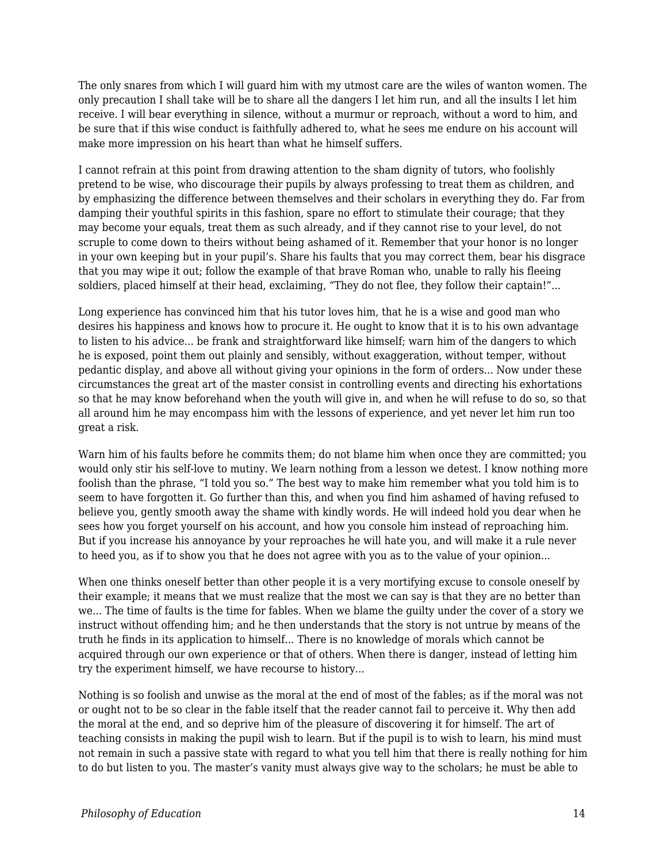The only snares from which I will guard him with my utmost care are the wiles of wanton women. The only precaution I shall take will be to share all the dangers I let him run, and all the insults I let him receive. I will bear everything in silence, without a murmur or reproach, without a word to him, and be sure that if this wise conduct is faithfully adhered to, what he sees me endure on his account will make more impression on his heart than what he himself suffers.

I cannot refrain at this point from drawing attention to the sham dignity of tutors, who foolishly pretend to be wise, who discourage their pupils by always professing to treat them as children, and by emphasizing the difference between themselves and their scholars in everything they do. Far from damping their youthful spirits in this fashion, spare no effort to stimulate their courage; that they may become your equals, treat them as such already, and if they cannot rise to your level, do not scruple to come down to theirs without being ashamed of it. Remember that your honor is no longer in your own keeping but in your pupil's. Share his faults that you may correct them, bear his disgrace that you may wipe it out; follow the example of that brave Roman who, unable to rally his fleeing soldiers, placed himself at their head, exclaiming, "They do not flee, they follow their captain!"...

Long experience has convinced him that his tutor loves him, that he is a wise and good man who desires his happiness and knows how to procure it. He ought to know that it is to his own advantage to listen to his advice... be frank and straightforward like himself; warn him of the dangers to which he is exposed, point them out plainly and sensibly, without exaggeration, without temper, without pedantic display, and above all without giving your opinions in the form of orders... Now under these circumstances the great art of the master consist in controlling events and directing his exhortations so that he may know beforehand when the youth will give in, and when he will refuse to do so, so that all around him he may encompass him with the lessons of experience, and yet never let him run too great a risk.

Warn him of his faults before he commits them; do not blame him when once they are committed; you would only stir his self-love to mutiny. We learn nothing from a lesson we detest. I know nothing more foolish than the phrase, "I told you so." The best way to make him remember what you told him is to seem to have forgotten it. Go further than this, and when you find him ashamed of having refused to believe you, gently smooth away the shame with kindly words. He will indeed hold you dear when he sees how you forget yourself on his account, and how you console him instead of reproaching him. But if you increase his annoyance by your reproaches he will hate you, and will make it a rule never to heed you, as if to show you that he does not agree with you as to the value of your opinion...

When one thinks oneself better than other people it is a very mortifying excuse to console oneself by their example; it means that we must realize that the most we can say is that they are no better than we... The time of faults is the time for fables. When we blame the guilty under the cover of a story we instruct without offending him; and he then understands that the story is not untrue by means of the truth he finds in its application to himself... There is no knowledge of morals which cannot be acquired through our own experience or that of others. When there is danger, instead of letting him try the experiment himself, we have recourse to history...

Nothing is so foolish and unwise as the moral at the end of most of the fables; as if the moral was not or ought not to be so clear in the fable itself that the reader cannot fail to perceive it. Why then add the moral at the end, and so deprive him of the pleasure of discovering it for himself. The art of teaching consists in making the pupil wish to learn. But if the pupil is to wish to learn, his mind must not remain in such a passive state with regard to what you tell him that there is really nothing for him to do but listen to you. The master's vanity must always give way to the scholars; he must be able to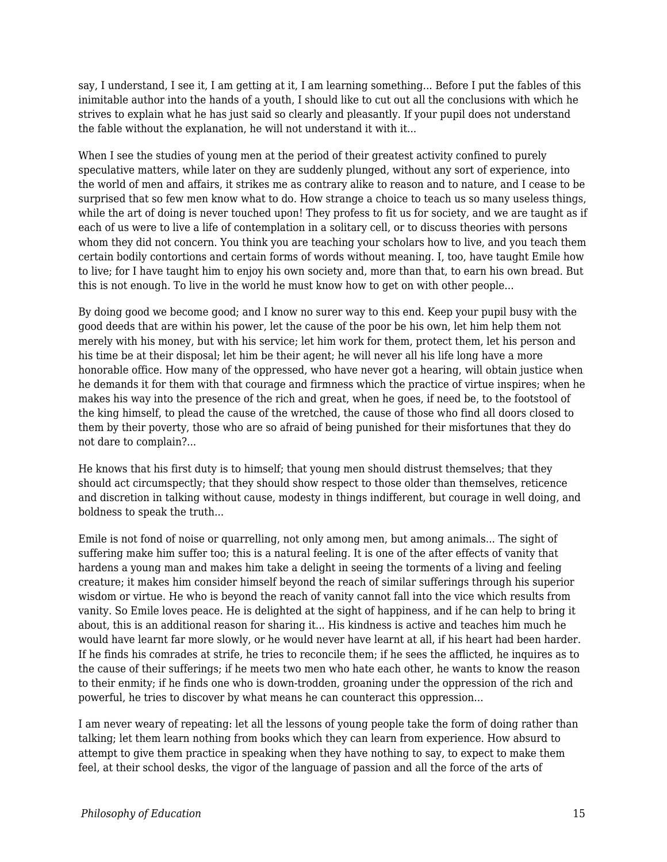say, I understand, I see it, I am getting at it, I am learning something... Before I put the fables of this inimitable author into the hands of a youth, I should like to cut out all the conclusions with which he strives to explain what he has just said so clearly and pleasantly. If your pupil does not understand the fable without the explanation, he will not understand it with it...

When I see the studies of young men at the period of their greatest activity confined to purely speculative matters, while later on they are suddenly plunged, without any sort of experience, into the world of men and affairs, it strikes me as contrary alike to reason and to nature, and I cease to be surprised that so few men know what to do. How strange a choice to teach us so many useless things, while the art of doing is never touched upon! They profess to fit us for society, and we are taught as if each of us were to live a life of contemplation in a solitary cell, or to discuss theories with persons whom they did not concern. You think you are teaching your scholars how to live, and you teach them certain bodily contortions and certain forms of words without meaning. I, too, have taught Emile how to live; for I have taught him to enjoy his own society and, more than that, to earn his own bread. But this is not enough. To live in the world he must know how to get on with other people...

By doing good we become good; and I know no surer way to this end. Keep your pupil busy with the good deeds that are within his power, let the cause of the poor be his own, let him help them not merely with his money, but with his service; let him work for them, protect them, let his person and his time be at their disposal; let him be their agent; he will never all his life long have a more honorable office. How many of the oppressed, who have never got a hearing, will obtain justice when he demands it for them with that courage and firmness which the practice of virtue inspires; when he makes his way into the presence of the rich and great, when he goes, if need be, to the footstool of the king himself, to plead the cause of the wretched, the cause of those who find all doors closed to them by their poverty, those who are so afraid of being punished for their misfortunes that they do not dare to complain?...

He knows that his first duty is to himself; that young men should distrust themselves; that they should act circumspectly; that they should show respect to those older than themselves, reticence and discretion in talking without cause, modesty in things indifferent, but courage in well doing, and boldness to speak the truth...

Emile is not fond of noise or quarrelling, not only among men, but among animals... The sight of suffering make him suffer too; this is a natural feeling. It is one of the after effects of vanity that hardens a young man and makes him take a delight in seeing the torments of a living and feeling creature; it makes him consider himself beyond the reach of similar sufferings through his superior wisdom or virtue. He who is beyond the reach of vanity cannot fall into the vice which results from vanity. So Emile loves peace. He is delighted at the sight of happiness, and if he can help to bring it about, this is an additional reason for sharing it... His kindness is active and teaches him much he would have learnt far more slowly, or he would never have learnt at all, if his heart had been harder. If he finds his comrades at strife, he tries to reconcile them; if he sees the afflicted, he inquires as to the cause of their sufferings; if he meets two men who hate each other, he wants to know the reason to their enmity; if he finds one who is down-trodden, groaning under the oppression of the rich and powerful, he tries to discover by what means he can counteract this oppression...

I am never weary of repeating: let all the lessons of young people take the form of doing rather than talking; let them learn nothing from books which they can learn from experience. How absurd to attempt to give them practice in speaking when they have nothing to say, to expect to make them feel, at their school desks, the vigor of the language of passion and all the force of the arts of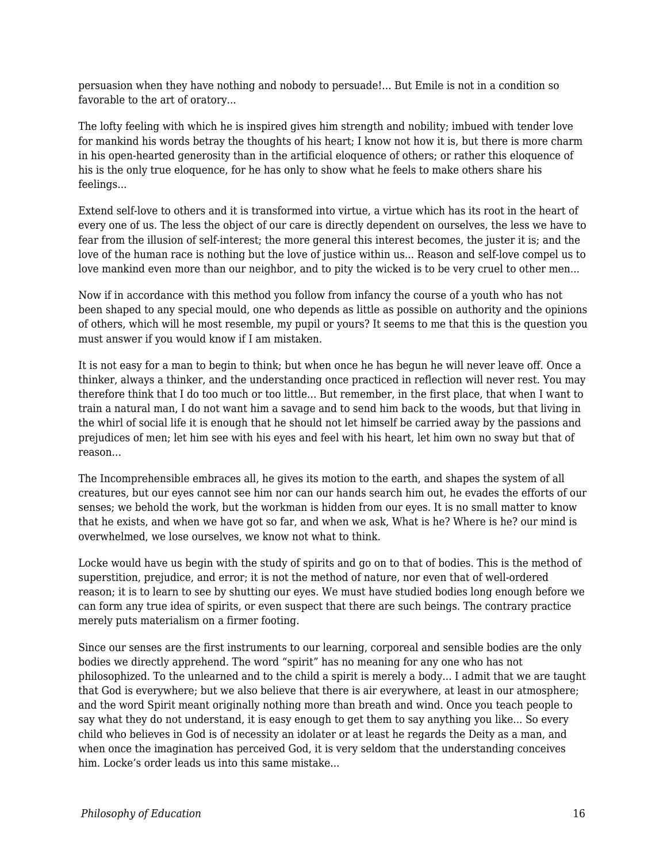persuasion when they have nothing and nobody to persuade!... But Emile is not in a condition so favorable to the art of oratory...

The lofty feeling with which he is inspired gives him strength and nobility; imbued with tender love for mankind his words betray the thoughts of his heart; I know not how it is, but there is more charm in his open-hearted generosity than in the artificial eloquence of others; or rather this eloquence of his is the only true eloquence, for he has only to show what he feels to make others share his feelings...

Extend self-love to others and it is transformed into virtue, a virtue which has its root in the heart of every one of us. The less the object of our care is directly dependent on ourselves, the less we have to fear from the illusion of self-interest; the more general this interest becomes, the juster it is; and the love of the human race is nothing but the love of justice within us... Reason and self-love compel us to love mankind even more than our neighbor, and to pity the wicked is to be very cruel to other men...

Now if in accordance with this method you follow from infancy the course of a youth who has not been shaped to any special mould, one who depends as little as possible on authority and the opinions of others, which will he most resemble, my pupil or yours? It seems to me that this is the question you must answer if you would know if I am mistaken.

It is not easy for a man to begin to think; but when once he has begun he will never leave off. Once a thinker, always a thinker, and the understanding once practiced in reflection will never rest. You may therefore think that I do too much or too little... But remember, in the first place, that when I want to train a natural man, I do not want him a savage and to send him back to the woods, but that living in the whirl of social life it is enough that he should not let himself be carried away by the passions and prejudices of men; let him see with his eyes and feel with his heart, let him own no sway but that of reason...

The Incomprehensible embraces all, he gives its motion to the earth, and shapes the system of all creatures, but our eyes cannot see him nor can our hands search him out, he evades the efforts of our senses; we behold the work, but the workman is hidden from our eyes. It is no small matter to know that he exists, and when we have got so far, and when we ask, What is he? Where is he? our mind is overwhelmed, we lose ourselves, we know not what to think.

Locke would have us begin with the study of spirits and go on to that of bodies. This is the method of superstition, prejudice, and error; it is not the method of nature, nor even that of well-ordered reason; it is to learn to see by shutting our eyes. We must have studied bodies long enough before we can form any true idea of spirits, or even suspect that there are such beings. The contrary practice merely puts materialism on a firmer footing.

Since our senses are the first instruments to our learning, corporeal and sensible bodies are the only bodies we directly apprehend. The word "spirit" has no meaning for any one who has not philosophized. To the unlearned and to the child a spirit is merely a body... I admit that we are taught that God is everywhere; but we also believe that there is air everywhere, at least in our atmosphere; and the word Spirit meant originally nothing more than breath and wind. Once you teach people to say what they do not understand, it is easy enough to get them to say anything you like... So every child who believes in God is of necessity an idolater or at least he regards the Deity as a man, and when once the imagination has perceived God, it is very seldom that the understanding conceives him. Locke's order leads us into this same mistake...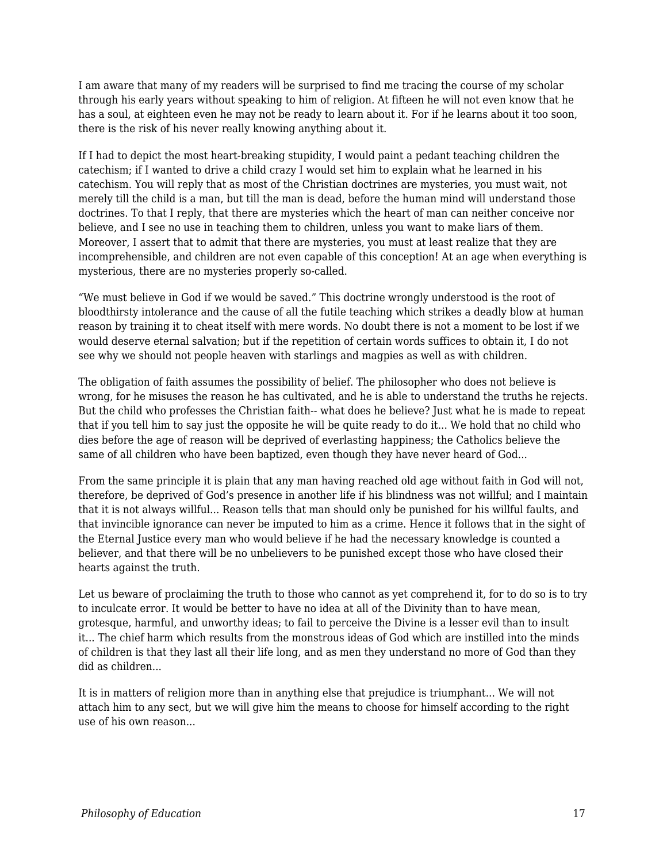I am aware that many of my readers will be surprised to find me tracing the course of my scholar through his early years without speaking to him of religion. At fifteen he will not even know that he has a soul, at eighteen even he may not be ready to learn about it. For if he learns about it too soon, there is the risk of his never really knowing anything about it.

If I had to depict the most heart-breaking stupidity, I would paint a pedant teaching children the catechism; if I wanted to drive a child crazy I would set him to explain what he learned in his catechism. You will reply that as most of the Christian doctrines are mysteries, you must wait, not merely till the child is a man, but till the man is dead, before the human mind will understand those doctrines. To that I reply, that there are mysteries which the heart of man can neither conceive nor believe, and I see no use in teaching them to children, unless you want to make liars of them. Moreover, I assert that to admit that there are mysteries, you must at least realize that they are incomprehensible, and children are not even capable of this conception! At an age when everything is mysterious, there are no mysteries properly so-called.

"We must believe in God if we would be saved." This doctrine wrongly understood is the root of bloodthirsty intolerance and the cause of all the futile teaching which strikes a deadly blow at human reason by training it to cheat itself with mere words. No doubt there is not a moment to be lost if we would deserve eternal salvation; but if the repetition of certain words suffices to obtain it, I do not see why we should not people heaven with starlings and magpies as well as with children.

The obligation of faith assumes the possibility of belief. The philosopher who does not believe is wrong, for he misuses the reason he has cultivated, and he is able to understand the truths he rejects. But the child who professes the Christian faith-- what does he believe? Just what he is made to repeat that if you tell him to say just the opposite he will be quite ready to do it... We hold that no child who dies before the age of reason will be deprived of everlasting happiness; the Catholics believe the same of all children who have been baptized, even though they have never heard of God...

From the same principle it is plain that any man having reached old age without faith in God will not, therefore, be deprived of God's presence in another life if his blindness was not willful; and I maintain that it is not always willful... Reason tells that man should only be punished for his willful faults, and that invincible ignorance can never be imputed to him as a crime. Hence it follows that in the sight of the Eternal Justice every man who would believe if he had the necessary knowledge is counted a believer, and that there will be no unbelievers to be punished except those who have closed their hearts against the truth.

Let us beware of proclaiming the truth to those who cannot as yet comprehend it, for to do so is to try to inculcate error. It would be better to have no idea at all of the Divinity than to have mean, grotesque, harmful, and unworthy ideas; to fail to perceive the Divine is a lesser evil than to insult it... The chief harm which results from the monstrous ideas of God which are instilled into the minds of children is that they last all their life long, and as men they understand no more of God than they did as children...

It is in matters of religion more than in anything else that prejudice is triumphant... We will not attach him to any sect, but we will give him the means to choose for himself according to the right use of his own reason...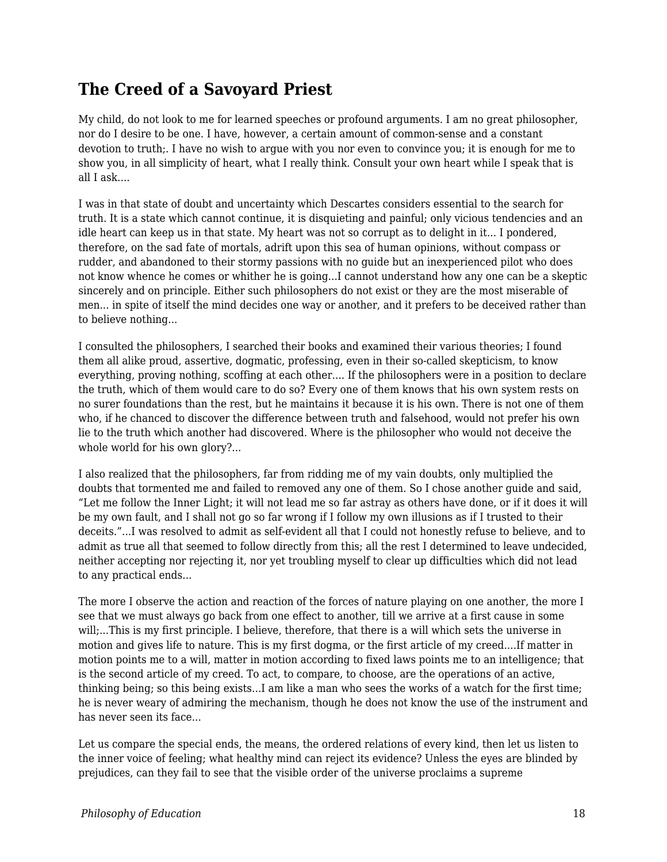## **The Creed of a Savoyard Priest**

My child, do not look to me for learned speeches or profound arguments. I am no great philosopher, nor do I desire to be one. I have, however, a certain amount of common-sense and a constant devotion to truth;. I have no wish to argue with you nor even to convince you; it is enough for me to show you, in all simplicity of heart, what I really think. Consult your own heart while I speak that is all I ask....

I was in that state of doubt and uncertainty which Descartes considers essential to the search for truth. It is a state which cannot continue, it is disquieting and painful; only vicious tendencies and an idle heart can keep us in that state. My heart was not so corrupt as to delight in it... I pondered, therefore, on the sad fate of mortals, adrift upon this sea of human opinions, without compass or rudder, and abandoned to their stormy passions with no guide but an inexperienced pilot who does not know whence he comes or whither he is going...I cannot understand how any one can be a skeptic sincerely and on principle. Either such philosophers do not exist or they are the most miserable of men... in spite of itself the mind decides one way or another, and it prefers to be deceived rather than to believe nothing...

I consulted the philosophers, I searched their books and examined their various theories; I found them all alike proud, assertive, dogmatic, professing, even in their so-called skepticism, to know everything, proving nothing, scoffing at each other.... If the philosophers were in a position to declare the truth, which of them would care to do so? Every one of them knows that his own system rests on no surer foundations than the rest, but he maintains it because it is his own. There is not one of them who, if he chanced to discover the difference between truth and falsehood, would not prefer his own lie to the truth which another had discovered. Where is the philosopher who would not deceive the whole world for his own glory?...

I also realized that the philosophers, far from ridding me of my vain doubts, only multiplied the doubts that tormented me and failed to removed any one of them. So I chose another guide and said, "Let me follow the Inner Light; it will not lead me so far astray as others have done, or if it does it will be my own fault, and I shall not go so far wrong if I follow my own illusions as if I trusted to their deceits."...I was resolved to admit as self-evident all that I could not honestly refuse to believe, and to admit as true all that seemed to follow directly from this; all the rest I determined to leave undecided, neither accepting nor rejecting it, nor yet troubling myself to clear up difficulties which did not lead to any practical ends...

The more I observe the action and reaction of the forces of nature playing on one another, the more I see that we must always go back from one effect to another, till we arrive at a first cause in some will;...This is my first principle. I believe, therefore, that there is a will which sets the universe in motion and gives life to nature. This is my first dogma, or the first article of my creed....If matter in motion points me to a will, matter in motion according to fixed laws points me to an intelligence; that is the second article of my creed. To act, to compare, to choose, are the operations of an active, thinking being; so this being exists...I am like a man who sees the works of a watch for the first time; he is never weary of admiring the mechanism, though he does not know the use of the instrument and has never seen its face...

Let us compare the special ends, the means, the ordered relations of every kind, then let us listen to the inner voice of feeling; what healthy mind can reject its evidence? Unless the eyes are blinded by prejudices, can they fail to see that the visible order of the universe proclaims a supreme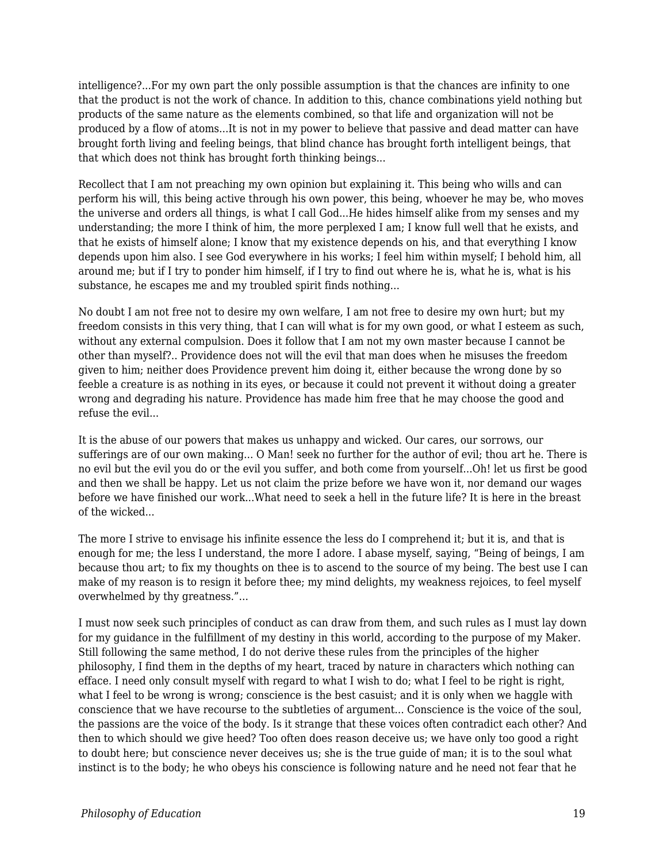intelligence?...For my own part the only possible assumption is that the chances are infinity to one that the product is not the work of chance. In addition to this, chance combinations yield nothing but products of the same nature as the elements combined, so that life and organization will not be produced by a flow of atoms...It is not in my power to believe that passive and dead matter can have brought forth living and feeling beings, that blind chance has brought forth intelligent beings, that that which does not think has brought forth thinking beings...

Recollect that I am not preaching my own opinion but explaining it. This being who wills and can perform his will, this being active through his own power, this being, whoever he may be, who moves the universe and orders all things, is what I call God...He hides himself alike from my senses and my understanding; the more I think of him, the more perplexed I am; I know full well that he exists, and that he exists of himself alone; I know that my existence depends on his, and that everything I know depends upon him also. I see God everywhere in his works; I feel him within myself; I behold him, all around me; but if I try to ponder him himself, if I try to find out where he is, what he is, what is his substance, he escapes me and my troubled spirit finds nothing...

No doubt I am not free not to desire my own welfare, I am not free to desire my own hurt; but my freedom consists in this very thing, that I can will what is for my own good, or what I esteem as such, without any external compulsion. Does it follow that I am not my own master because I cannot be other than myself?.. Providence does not will the evil that man does when he misuses the freedom given to him; neither does Providence prevent him doing it, either because the wrong done by so feeble a creature is as nothing in its eyes, or because it could not prevent it without doing a greater wrong and degrading his nature. Providence has made him free that he may choose the good and refuse the evil...

It is the abuse of our powers that makes us unhappy and wicked. Our cares, our sorrows, our sufferings are of our own making... O Man! seek no further for the author of evil; thou art he. There is no evil but the evil you do or the evil you suffer, and both come from yourself...Oh! let us first be good and then we shall be happy. Let us not claim the prize before we have won it, nor demand our wages before we have finished our work...What need to seek a hell in the future life? It is here in the breast of the wicked...

The more I strive to envisage his infinite essence the less do I comprehend it; but it is, and that is enough for me; the less I understand, the more I adore. I abase myself, saying, "Being of beings, I am because thou art; to fix my thoughts on thee is to ascend to the source of my being. The best use I can make of my reason is to resign it before thee; my mind delights, my weakness rejoices, to feel myself overwhelmed by thy greatness."...

I must now seek such principles of conduct as can draw from them, and such rules as I must lay down for my guidance in the fulfillment of my destiny in this world, according to the purpose of my Maker. Still following the same method, I do not derive these rules from the principles of the higher philosophy, I find them in the depths of my heart, traced by nature in characters which nothing can efface. I need only consult myself with regard to what I wish to do; what I feel to be right is right, what I feel to be wrong is wrong; conscience is the best casuist; and it is only when we haggle with conscience that we have recourse to the subtleties of argument... Conscience is the voice of the soul, the passions are the voice of the body. Is it strange that these voices often contradict each other? And then to which should we give heed? Too often does reason deceive us; we have only too good a right to doubt here; but conscience never deceives us; she is the true guide of man; it is to the soul what instinct is to the body; he who obeys his conscience is following nature and he need not fear that he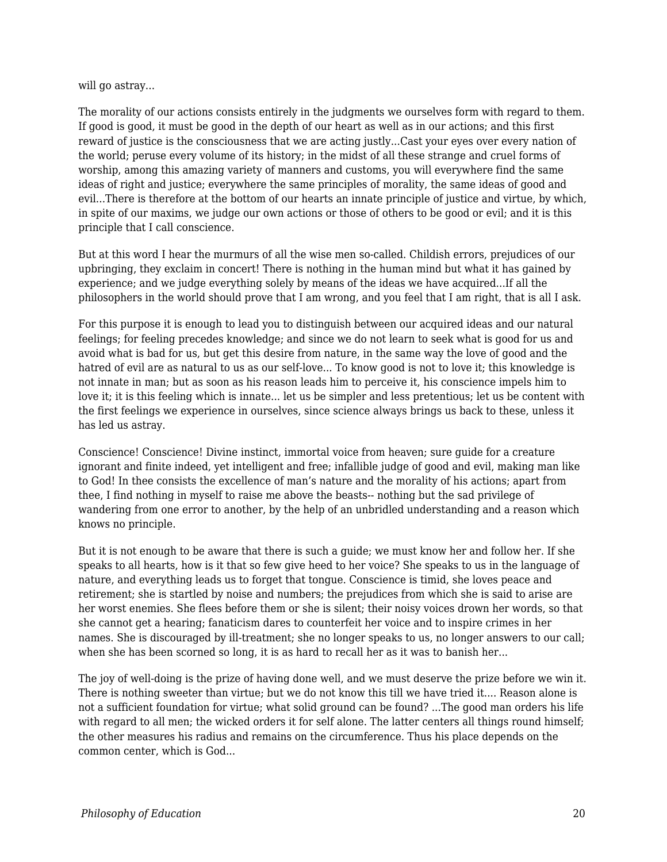#### will go astray...

The morality of our actions consists entirely in the judgments we ourselves form with regard to them. If good is good, it must be good in the depth of our heart as well as in our actions; and this first reward of justice is the consciousness that we are acting justly...Cast your eyes over every nation of the world; peruse every volume of its history; in the midst of all these strange and cruel forms of worship, among this amazing variety of manners and customs, you will everywhere find the same ideas of right and justice; everywhere the same principles of morality, the same ideas of good and evil...There is therefore at the bottom of our hearts an innate principle of justice and virtue, by which, in spite of our maxims, we judge our own actions or those of others to be good or evil; and it is this principle that I call conscience.

But at this word I hear the murmurs of all the wise men so-called. Childish errors, prejudices of our upbringing, they exclaim in concert! There is nothing in the human mind but what it has gained by experience; and we judge everything solely by means of the ideas we have acquired...If all the philosophers in the world should prove that I am wrong, and you feel that I am right, that is all I ask.

For this purpose it is enough to lead you to distinguish between our acquired ideas and our natural feelings; for feeling precedes knowledge; and since we do not learn to seek what is good for us and avoid what is bad for us, but get this desire from nature, in the same way the love of good and the hatred of evil are as natural to us as our self-love... To know good is not to love it; this knowledge is not innate in man; but as soon as his reason leads him to perceive it, his conscience impels him to love it; it is this feeling which is innate... let us be simpler and less pretentious; let us be content with the first feelings we experience in ourselves, since science always brings us back to these, unless it has led us astray.

Conscience! Conscience! Divine instinct, immortal voice from heaven; sure guide for a creature ignorant and finite indeed, yet intelligent and free; infallible judge of good and evil, making man like to God! In thee consists the excellence of man's nature and the morality of his actions; apart from thee, I find nothing in myself to raise me above the beasts-- nothing but the sad privilege of wandering from one error to another, by the help of an unbridled understanding and a reason which knows no principle.

But it is not enough to be aware that there is such a guide; we must know her and follow her. If she speaks to all hearts, how is it that so few give heed to her voice? She speaks to us in the language of nature, and everything leads us to forget that tongue. Conscience is timid, she loves peace and retirement; she is startled by noise and numbers; the prejudices from which she is said to arise are her worst enemies. She flees before them or she is silent; their noisy voices drown her words, so that she cannot get a hearing; fanaticism dares to counterfeit her voice and to inspire crimes in her names. She is discouraged by ill-treatment; she no longer speaks to us, no longer answers to our call; when she has been scorned so long, it is as hard to recall her as it was to banish her...

The joy of well-doing is the prize of having done well, and we must deserve the prize before we win it. There is nothing sweeter than virtue; but we do not know this till we have tried it.... Reason alone is not a sufficient foundation for virtue; what solid ground can be found? ...The good man orders his life with regard to all men; the wicked orders it for self alone. The latter centers all things round himself; the other measures his radius and remains on the circumference. Thus his place depends on the common center, which is God...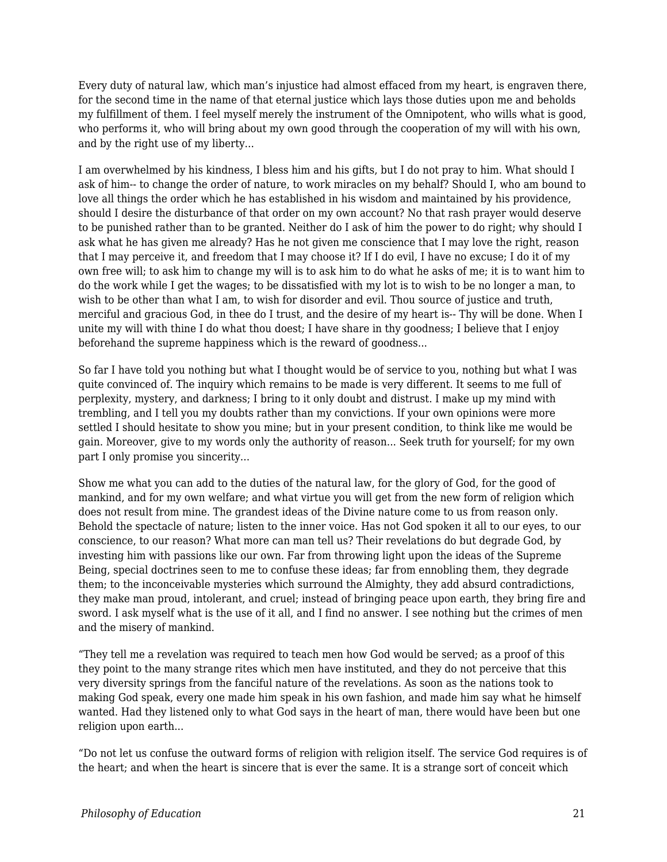Every duty of natural law, which man's injustice had almost effaced from my heart, is engraven there, for the second time in the name of that eternal justice which lays those duties upon me and beholds my fulfillment of them. I feel myself merely the instrument of the Omnipotent, who wills what is good, who performs it, who will bring about my own good through the cooperation of my will with his own, and by the right use of my liberty...

I am overwhelmed by his kindness, I bless him and his gifts, but I do not pray to him. What should I ask of him-- to change the order of nature, to work miracles on my behalf? Should I, who am bound to love all things the order which he has established in his wisdom and maintained by his providence, should I desire the disturbance of that order on my own account? No that rash prayer would deserve to be punished rather than to be granted. Neither do I ask of him the power to do right; why should I ask what he has given me already? Has he not given me conscience that I may love the right, reason that I may perceive it, and freedom that I may choose it? If I do evil, I have no excuse; I do it of my own free will; to ask him to change my will is to ask him to do what he asks of me; it is to want him to do the work while I get the wages; to be dissatisfied with my lot is to wish to be no longer a man, to wish to be other than what I am, to wish for disorder and evil. Thou source of justice and truth, merciful and gracious God, in thee do I trust, and the desire of my heart is-- Thy will be done. When I unite my will with thine I do what thou doest; I have share in thy goodness; I believe that I enjoy beforehand the supreme happiness which is the reward of goodness...

So far I have told you nothing but what I thought would be of service to you, nothing but what I was quite convinced of. The inquiry which remains to be made is very different. It seems to me full of perplexity, mystery, and darkness; I bring to it only doubt and distrust. I make up my mind with trembling, and I tell you my doubts rather than my convictions. If your own opinions were more settled I should hesitate to show you mine; but in your present condition, to think like me would be gain. Moreover, give to my words only the authority of reason... Seek truth for yourself; for my own part I only promise you sincerity...

Show me what you can add to the duties of the natural law, for the glory of God, for the good of mankind, and for my own welfare; and what virtue you will get from the new form of religion which does not result from mine. The grandest ideas of the Divine nature come to us from reason only. Behold the spectacle of nature; listen to the inner voice. Has not God spoken it all to our eyes, to our conscience, to our reason? What more can man tell us? Their revelations do but degrade God, by investing him with passions like our own. Far from throwing light upon the ideas of the Supreme Being, special doctrines seen to me to confuse these ideas; far from ennobling them, they degrade them; to the inconceivable mysteries which surround the Almighty, they add absurd contradictions, they make man proud, intolerant, and cruel; instead of bringing peace upon earth, they bring fire and sword. I ask myself what is the use of it all, and I find no answer. I see nothing but the crimes of men and the misery of mankind.

"They tell me a revelation was required to teach men how God would be served; as a proof of this they point to the many strange rites which men have instituted, and they do not perceive that this very diversity springs from the fanciful nature of the revelations. As soon as the nations took to making God speak, every one made him speak in his own fashion, and made him say what he himself wanted. Had they listened only to what God says in the heart of man, there would have been but one religion upon earth...

"Do not let us confuse the outward forms of religion with religion itself. The service God requires is of the heart; and when the heart is sincere that is ever the same. It is a strange sort of conceit which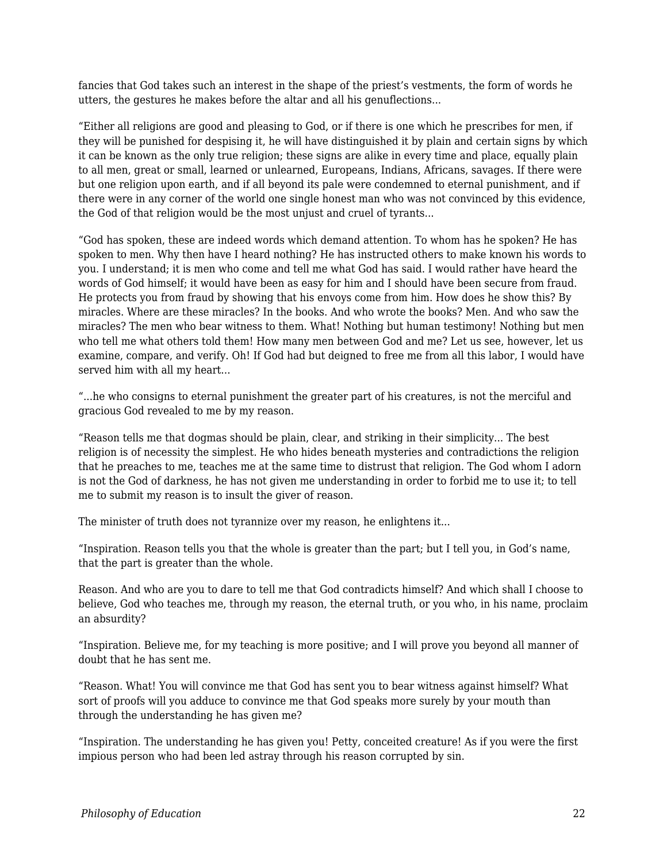fancies that God takes such an interest in the shape of the priest's vestments, the form of words he utters, the gestures he makes before the altar and all his genuflections...

"Either all religions are good and pleasing to God, or if there is one which he prescribes for men, if they will be punished for despising it, he will have distinguished it by plain and certain signs by which it can be known as the only true religion; these signs are alike in every time and place, equally plain to all men, great or small, learned or unlearned, Europeans, Indians, Africans, savages. If there were but one religion upon earth, and if all beyond its pale were condemned to eternal punishment, and if there were in any corner of the world one single honest man who was not convinced by this evidence, the God of that religion would be the most unjust and cruel of tyrants...

"God has spoken, these are indeed words which demand attention. To whom has he spoken? He has spoken to men. Why then have I heard nothing? He has instructed others to make known his words to you. I understand; it is men who come and tell me what God has said. I would rather have heard the words of God himself; it would have been as easy for him and I should have been secure from fraud. He protects you from fraud by showing that his envoys come from him. How does he show this? By miracles. Where are these miracles? In the books. And who wrote the books? Men. And who saw the miracles? The men who bear witness to them. What! Nothing but human testimony! Nothing but men who tell me what others told them! How many men between God and me? Let us see, however, let us examine, compare, and verify. Oh! If God had but deigned to free me from all this labor, I would have served him with all my heart...

"...he who consigns to eternal punishment the greater part of his creatures, is not the merciful and gracious God revealed to me by my reason.

"Reason tells me that dogmas should be plain, clear, and striking in their simplicity... The best religion is of necessity the simplest. He who hides beneath mysteries and contradictions the religion that he preaches to me, teaches me at the same time to distrust that religion. The God whom I adorn is not the God of darkness, he has not given me understanding in order to forbid me to use it; to tell me to submit my reason is to insult the giver of reason.

The minister of truth does not tyrannize over my reason, he enlightens it...

"Inspiration. Reason tells you that the whole is greater than the part; but I tell you, in God's name, that the part is greater than the whole.

Reason. And who are you to dare to tell me that God contradicts himself? And which shall I choose to believe, God who teaches me, through my reason, the eternal truth, or you who, in his name, proclaim an absurdity?

"Inspiration. Believe me, for my teaching is more positive; and I will prove you beyond all manner of doubt that he has sent me.

"Reason. What! You will convince me that God has sent you to bear witness against himself? What sort of proofs will you adduce to convince me that God speaks more surely by your mouth than through the understanding he has given me?

"Inspiration. The understanding he has given you! Petty, conceited creature! As if you were the first impious person who had been led astray through his reason corrupted by sin.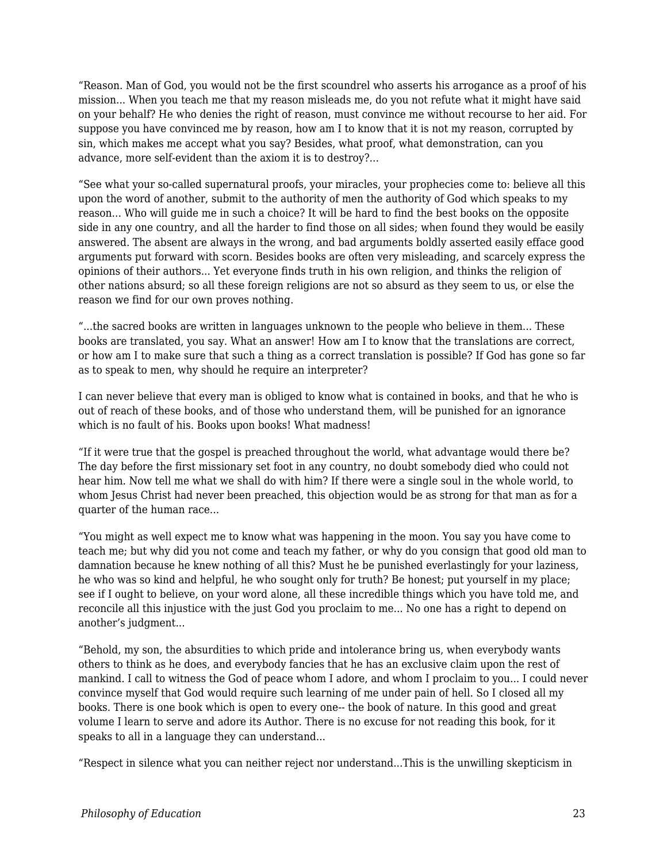"Reason. Man of God, you would not be the first scoundrel who asserts his arrogance as a proof of his mission... When you teach me that my reason misleads me, do you not refute what it might have said on your behalf? He who denies the right of reason, must convince me without recourse to her aid. For suppose you have convinced me by reason, how am I to know that it is not my reason, corrupted by sin, which makes me accept what you say? Besides, what proof, what demonstration, can you advance, more self-evident than the axiom it is to destroy?...

"See what your so-called supernatural proofs, your miracles, your prophecies come to: believe all this upon the word of another, submit to the authority of men the authority of God which speaks to my reason... Who will guide me in such a choice? It will be hard to find the best books on the opposite side in any one country, and all the harder to find those on all sides; when found they would be easily answered. The absent are always in the wrong, and bad arguments boldly asserted easily efface good arguments put forward with scorn. Besides books are often very misleading, and scarcely express the opinions of their authors... Yet everyone finds truth in his own religion, and thinks the religion of other nations absurd; so all these foreign religions are not so absurd as they seem to us, or else the reason we find for our own proves nothing.

"...the sacred books are written in languages unknown to the people who believe in them... These books are translated, you say. What an answer! How am I to know that the translations are correct, or how am I to make sure that such a thing as a correct translation is possible? If God has gone so far as to speak to men, why should he require an interpreter?

I can never believe that every man is obliged to know what is contained in books, and that he who is out of reach of these books, and of those who understand them, will be punished for an ignorance which is no fault of his. Books upon books! What madness!

"If it were true that the gospel is preached throughout the world, what advantage would there be? The day before the first missionary set foot in any country, no doubt somebody died who could not hear him. Now tell me what we shall do with him? If there were a single soul in the whole world, to whom Jesus Christ had never been preached, this objection would be as strong for that man as for a quarter of the human race...

"You might as well expect me to know what was happening in the moon. You say you have come to teach me; but why did you not come and teach my father, or why do you consign that good old man to damnation because he knew nothing of all this? Must he be punished everlastingly for your laziness, he who was so kind and helpful, he who sought only for truth? Be honest; put yourself in my place; see if I ought to believe, on your word alone, all these incredible things which you have told me, and reconcile all this injustice with the just God you proclaim to me... No one has a right to depend on another's judgment...

"Behold, my son, the absurdities to which pride and intolerance bring us, when everybody wants others to think as he does, and everybody fancies that he has an exclusive claim upon the rest of mankind. I call to witness the God of peace whom I adore, and whom I proclaim to you... I could never convince myself that God would require such learning of me under pain of hell. So I closed all my books. There is one book which is open to every one-- the book of nature. In this good and great volume I learn to serve and adore its Author. There is no excuse for not reading this book, for it speaks to all in a language they can understand...

"Respect in silence what you can neither reject nor understand...This is the unwilling skepticism in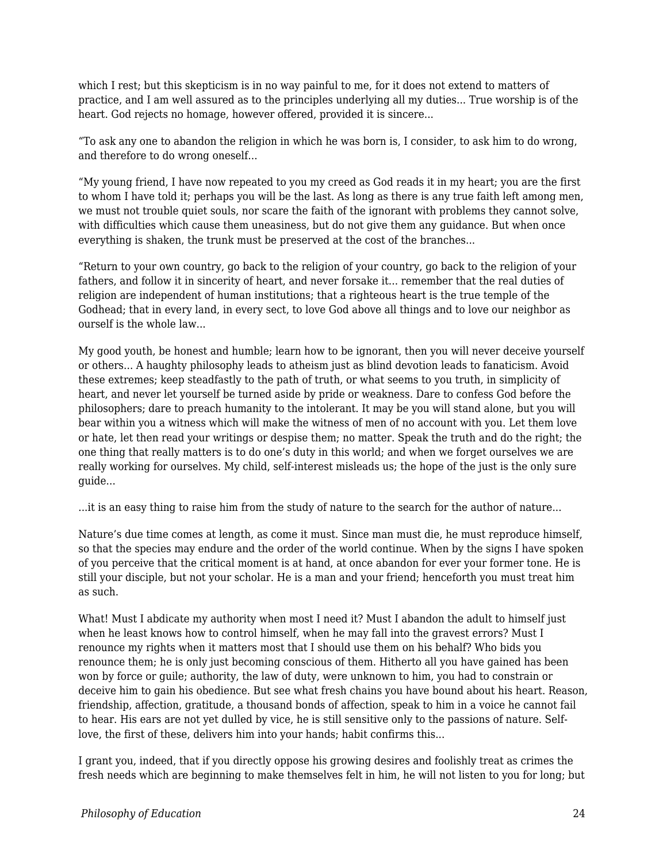which I rest; but this skepticism is in no way painful to me, for it does not extend to matters of practice, and I am well assured as to the principles underlying all my duties... True worship is of the heart. God rejects no homage, however offered, provided it is sincere...

"To ask any one to abandon the religion in which he was born is, I consider, to ask him to do wrong, and therefore to do wrong oneself...

"My young friend, I have now repeated to you my creed as God reads it in my heart; you are the first to whom I have told it; perhaps you will be the last. As long as there is any true faith left among men, we must not trouble quiet souls, nor scare the faith of the ignorant with problems they cannot solve, with difficulties which cause them uneasiness, but do not give them any guidance. But when once everything is shaken, the trunk must be preserved at the cost of the branches...

"Return to your own country, go back to the religion of your country, go back to the religion of your fathers, and follow it in sincerity of heart, and never forsake it... remember that the real duties of religion are independent of human institutions; that a righteous heart is the true temple of the Godhead; that in every land, in every sect, to love God above all things and to love our neighbor as ourself is the whole law...

My good youth, be honest and humble; learn how to be ignorant, then you will never deceive yourself or others... A haughty philosophy leads to atheism just as blind devotion leads to fanaticism. Avoid these extremes; keep steadfastly to the path of truth, or what seems to you truth, in simplicity of heart, and never let yourself be turned aside by pride or weakness. Dare to confess God before the philosophers; dare to preach humanity to the intolerant. It may be you will stand alone, but you will bear within you a witness which will make the witness of men of no account with you. Let them love or hate, let then read your writings or despise them; no matter. Speak the truth and do the right; the one thing that really matters is to do one's duty in this world; and when we forget ourselves we are really working for ourselves. My child, self-interest misleads us; the hope of the just is the only sure guide...

...it is an easy thing to raise him from the study of nature to the search for the author of nature...

Nature's due time comes at length, as come it must. Since man must die, he must reproduce himself, so that the species may endure and the order of the world continue. When by the signs I have spoken of you perceive that the critical moment is at hand, at once abandon for ever your former tone. He is still your disciple, but not your scholar. He is a man and your friend; henceforth you must treat him as such.

What! Must I abdicate my authority when most I need it? Must I abandon the adult to himself just when he least knows how to control himself, when he may fall into the gravest errors? Must I renounce my rights when it matters most that I should use them on his behalf? Who bids you renounce them; he is only just becoming conscious of them. Hitherto all you have gained has been won by force or guile; authority, the law of duty, were unknown to him, you had to constrain or deceive him to gain his obedience. But see what fresh chains you have bound about his heart. Reason, friendship, affection, gratitude, a thousand bonds of affection, speak to him in a voice he cannot fail to hear. His ears are not yet dulled by vice, he is still sensitive only to the passions of nature. Selflove, the first of these, delivers him into your hands; habit confirms this...

I grant you, indeed, that if you directly oppose his growing desires and foolishly treat as crimes the fresh needs which are beginning to make themselves felt in him, he will not listen to you for long; but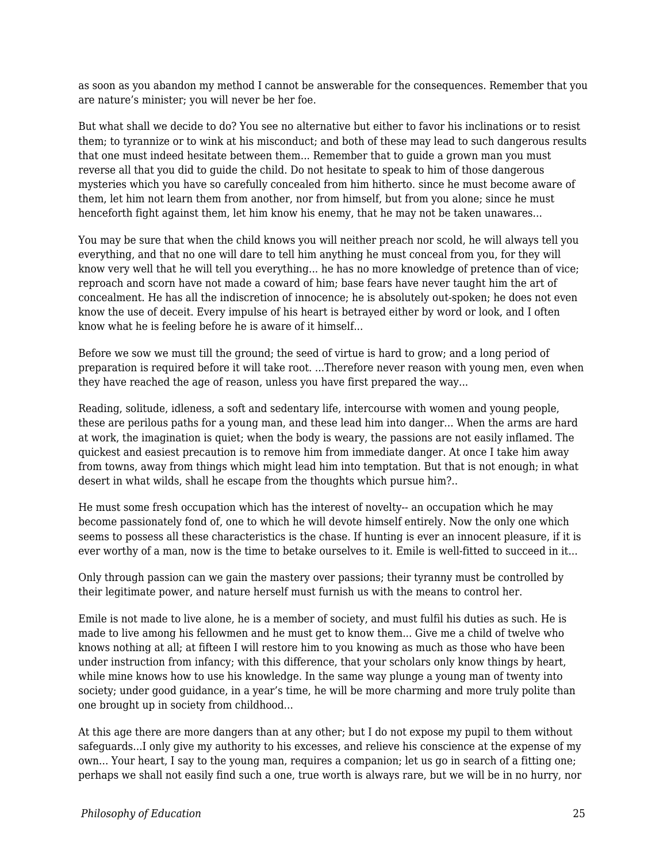as soon as you abandon my method I cannot be answerable for the consequences. Remember that you are nature's minister; you will never be her foe.

But what shall we decide to do? You see no alternative but either to favor his inclinations or to resist them; to tyrannize or to wink at his misconduct; and both of these may lead to such dangerous results that one must indeed hesitate between them... Remember that to guide a grown man you must reverse all that you did to guide the child. Do not hesitate to speak to him of those dangerous mysteries which you have so carefully concealed from him hitherto. since he must become aware of them, let him not learn them from another, nor from himself, but from you alone; since he must henceforth fight against them, let him know his enemy, that he may not be taken unawares...

You may be sure that when the child knows you will neither preach nor scold, he will always tell you everything, and that no one will dare to tell him anything he must conceal from you, for they will know very well that he will tell you everything... he has no more knowledge of pretence than of vice; reproach and scorn have not made a coward of him; base fears have never taught him the art of concealment. He has all the indiscretion of innocence; he is absolutely out-spoken; he does not even know the use of deceit. Every impulse of his heart is betrayed either by word or look, and I often know what he is feeling before he is aware of it himself...

Before we sow we must till the ground; the seed of virtue is hard to grow; and a long period of preparation is required before it will take root. ...Therefore never reason with young men, even when they have reached the age of reason, unless you have first prepared the way...

Reading, solitude, idleness, a soft and sedentary life, intercourse with women and young people, these are perilous paths for a young man, and these lead him into danger... When the arms are hard at work, the imagination is quiet; when the body is weary, the passions are not easily inflamed. The quickest and easiest precaution is to remove him from immediate danger. At once I take him away from towns, away from things which might lead him into temptation. But that is not enough; in what desert in what wilds, shall he escape from the thoughts which pursue him?..

He must some fresh occupation which has the interest of novelty-- an occupation which he may become passionately fond of, one to which he will devote himself entirely. Now the only one which seems to possess all these characteristics is the chase. If hunting is ever an innocent pleasure, if it is ever worthy of a man, now is the time to betake ourselves to it. Emile is well-fitted to succeed in it...

Only through passion can we gain the mastery over passions; their tyranny must be controlled by their legitimate power, and nature herself must furnish us with the means to control her.

Emile is not made to live alone, he is a member of society, and must fulfil his duties as such. He is made to live among his fellowmen and he must get to know them... Give me a child of twelve who knows nothing at all; at fifteen I will restore him to you knowing as much as those who have been under instruction from infancy; with this difference, that your scholars only know things by heart, while mine knows how to use his knowledge. In the same way plunge a young man of twenty into society; under good guidance, in a year's time, he will be more charming and more truly polite than one brought up in society from childhood...

At this age there are more dangers than at any other; but I do not expose my pupil to them without safeguards...I only give my authority to his excesses, and relieve his conscience at the expense of my own... Your heart, I say to the young man, requires a companion; let us go in search of a fitting one; perhaps we shall not easily find such a one, true worth is always rare, but we will be in no hurry, nor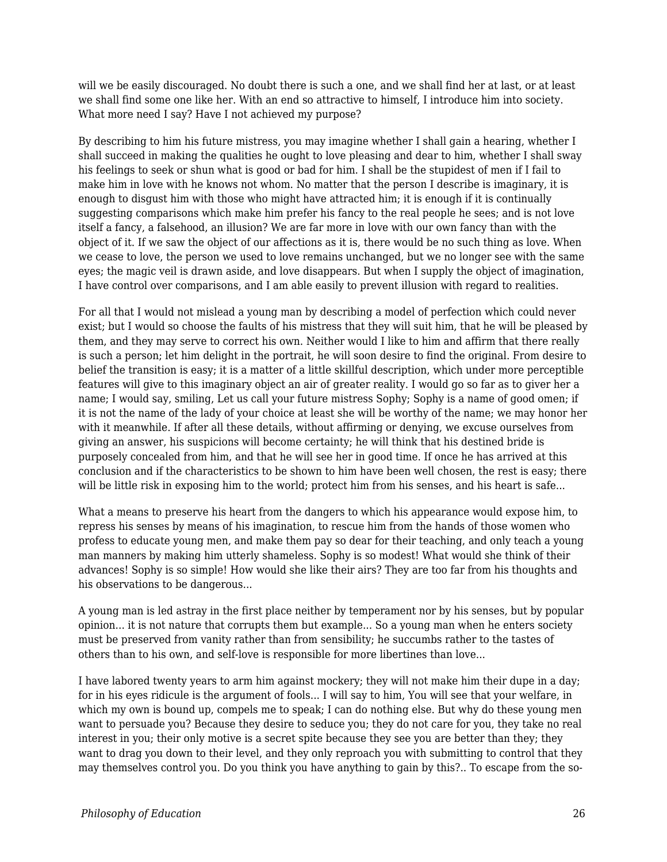will we be easily discouraged. No doubt there is such a one, and we shall find her at last, or at least we shall find some one like her. With an end so attractive to himself, I introduce him into society. What more need I say? Have I not achieved my purpose?

By describing to him his future mistress, you may imagine whether I shall gain a hearing, whether I shall succeed in making the qualities he ought to love pleasing and dear to him, whether I shall sway his feelings to seek or shun what is good or bad for him. I shall be the stupidest of men if I fail to make him in love with he knows not whom. No matter that the person I describe is imaginary, it is enough to disgust him with those who might have attracted him; it is enough if it is continually suggesting comparisons which make him prefer his fancy to the real people he sees; and is not love itself a fancy, a falsehood, an illusion? We are far more in love with our own fancy than with the object of it. If we saw the object of our affections as it is, there would be no such thing as love. When we cease to love, the person we used to love remains unchanged, but we no longer see with the same eyes; the magic veil is drawn aside, and love disappears. But when I supply the object of imagination, I have control over comparisons, and I am able easily to prevent illusion with regard to realities.

For all that I would not mislead a young man by describing a model of perfection which could never exist; but I would so choose the faults of his mistress that they will suit him, that he will be pleased by them, and they may serve to correct his own. Neither would I like to him and affirm that there really is such a person; let him delight in the portrait, he will soon desire to find the original. From desire to belief the transition is easy; it is a matter of a little skillful description, which under more perceptible features will give to this imaginary object an air of greater reality. I would go so far as to giver her a name; I would say, smiling, Let us call your future mistress Sophy; Sophy is a name of good omen; if it is not the name of the lady of your choice at least she will be worthy of the name; we may honor her with it meanwhile. If after all these details, without affirming or denying, we excuse ourselves from giving an answer, his suspicions will become certainty; he will think that his destined bride is purposely concealed from him, and that he will see her in good time. If once he has arrived at this conclusion and if the characteristics to be shown to him have been well chosen, the rest is easy; there will be little risk in exposing him to the world; protect him from his senses, and his heart is safe...

What a means to preserve his heart from the dangers to which his appearance would expose him, to repress his senses by means of his imagination, to rescue him from the hands of those women who profess to educate young men, and make them pay so dear for their teaching, and only teach a young man manners by making him utterly shameless. Sophy is so modest! What would she think of their advances! Sophy is so simple! How would she like their airs? They are too far from his thoughts and his observations to be dangerous...

A young man is led astray in the first place neither by temperament nor by his senses, but by popular opinion... it is not nature that corrupts them but example... So a young man when he enters society must be preserved from vanity rather than from sensibility; he succumbs rather to the tastes of others than to his own, and self-love is responsible for more libertines than love...

I have labored twenty years to arm him against mockery; they will not make him their dupe in a day; for in his eyes ridicule is the argument of fools... I will say to him, You will see that your welfare, in which my own is bound up, compels me to speak; I can do nothing else. But why do these young men want to persuade you? Because they desire to seduce you; they do not care for you, they take no real interest in you; their only motive is a secret spite because they see you are better than they; they want to drag you down to their level, and they only reproach you with submitting to control that they may themselves control you. Do you think you have anything to gain by this?.. To escape from the so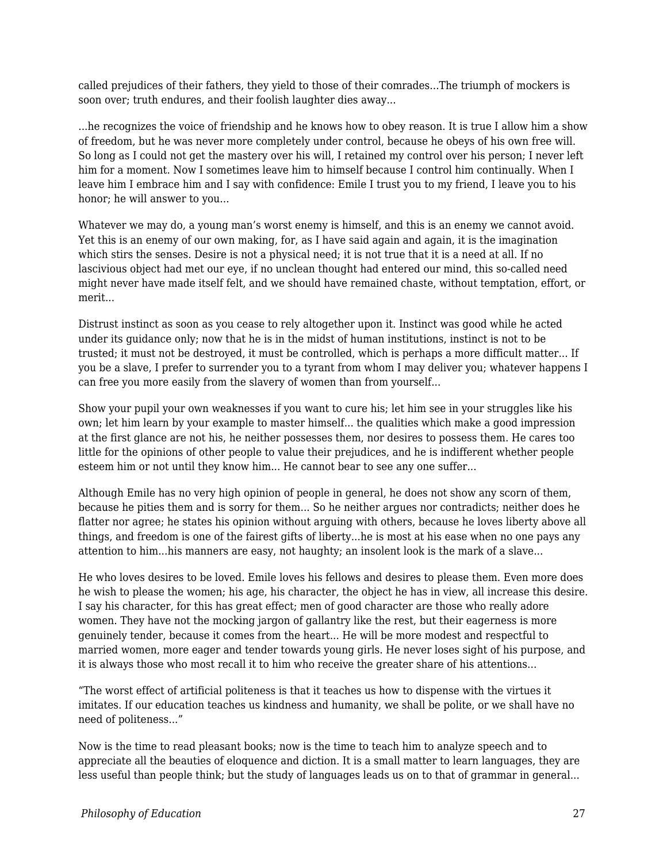called prejudices of their fathers, they yield to those of their comrades...The triumph of mockers is soon over; truth endures, and their foolish laughter dies away...

...he recognizes the voice of friendship and he knows how to obey reason. It is true I allow him a show of freedom, but he was never more completely under control, because he obeys of his own free will. So long as I could not get the mastery over his will, I retained my control over his person; I never left him for a moment. Now I sometimes leave him to himself because I control him continually. When I leave him I embrace him and I say with confidence: Emile I trust you to my friend, I leave you to his honor; he will answer to you...

Whatever we may do, a young man's worst enemy is himself, and this is an enemy we cannot avoid. Yet this is an enemy of our own making, for, as I have said again and again, it is the imagination which stirs the senses. Desire is not a physical need; it is not true that it is a need at all. If no lascivious object had met our eye, if no unclean thought had entered our mind, this so-called need might never have made itself felt, and we should have remained chaste, without temptation, effort, or merit...

Distrust instinct as soon as you cease to rely altogether upon it. Instinct was good while he acted under its guidance only; now that he is in the midst of human institutions, instinct is not to be trusted; it must not be destroyed, it must be controlled, which is perhaps a more difficult matter... If you be a slave, I prefer to surrender you to a tyrant from whom I may deliver you; whatever happens I can free you more easily from the slavery of women than from yourself...

Show your pupil your own weaknesses if you want to cure his; let him see in your struggles like his own; let him learn by your example to master himself... the qualities which make a good impression at the first glance are not his, he neither possesses them, nor desires to possess them. He cares too little for the opinions of other people to value their prejudices, and he is indifferent whether people esteem him or not until they know him... He cannot bear to see any one suffer...

Although Emile has no very high opinion of people in general, he does not show any scorn of them, because he pities them and is sorry for them... So he neither argues nor contradicts; neither does he flatter nor agree; he states his opinion without arguing with others, because he loves liberty above all things, and freedom is one of the fairest gifts of liberty...he is most at his ease when no one pays any attention to him...his manners are easy, not haughty; an insolent look is the mark of a slave...

He who loves desires to be loved. Emile loves his fellows and desires to please them. Even more does he wish to please the women; his age, his character, the object he has in view, all increase this desire. I say his character, for this has great effect; men of good character are those who really adore women. They have not the mocking jargon of gallantry like the rest, but their eagerness is more genuinely tender, because it comes from the heart... He will be more modest and respectful to married women, more eager and tender towards young girls. He never loses sight of his purpose, and it is always those who most recall it to him who receive the greater share of his attentions...

"The worst effect of artificial politeness is that it teaches us how to dispense with the virtues it imitates. If our education teaches us kindness and humanity, we shall be polite, or we shall have no need of politeness..."

Now is the time to read pleasant books; now is the time to teach him to analyze speech and to appreciate all the beauties of eloquence and diction. It is a small matter to learn languages, they are less useful than people think; but the study of languages leads us on to that of grammar in general...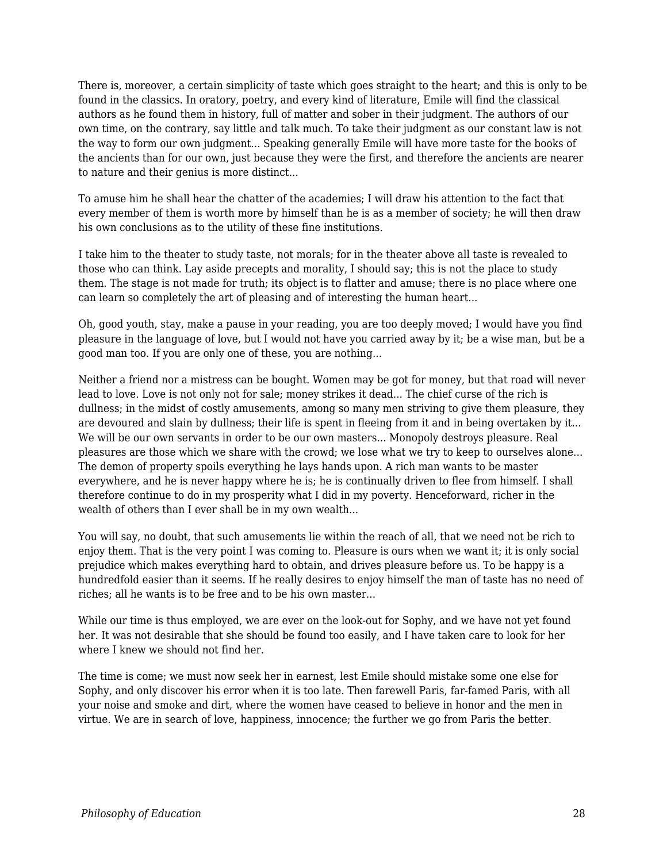There is, moreover, a certain simplicity of taste which goes straight to the heart; and this is only to be found in the classics. In oratory, poetry, and every kind of literature, Emile will find the classical authors as he found them in history, full of matter and sober in their judgment. The authors of our own time, on the contrary, say little and talk much. To take their judgment as our constant law is not the way to form our own judgment... Speaking generally Emile will have more taste for the books of the ancients than for our own, just because they were the first, and therefore the ancients are nearer to nature and their genius is more distinct...

To amuse him he shall hear the chatter of the academies; I will draw his attention to the fact that every member of them is worth more by himself than he is as a member of society; he will then draw his own conclusions as to the utility of these fine institutions.

I take him to the theater to study taste, not morals; for in the theater above all taste is revealed to those who can think. Lay aside precepts and morality, I should say; this is not the place to study them. The stage is not made for truth; its object is to flatter and amuse; there is no place where one can learn so completely the art of pleasing and of interesting the human heart...

Oh, good youth, stay, make a pause in your reading, you are too deeply moved; I would have you find pleasure in the language of love, but I would not have you carried away by it; be a wise man, but be a good man too. If you are only one of these, you are nothing...

Neither a friend nor a mistress can be bought. Women may be got for money, but that road will never lead to love. Love is not only not for sale; money strikes it dead... The chief curse of the rich is dullness; in the midst of costly amusements, among so many men striving to give them pleasure, they are devoured and slain by dullness; their life is spent in fleeing from it and in being overtaken by it... We will be our own servants in order to be our own masters... Monopoly destroys pleasure. Real pleasures are those which we share with the crowd; we lose what we try to keep to ourselves alone... The demon of property spoils everything he lays hands upon. A rich man wants to be master everywhere, and he is never happy where he is; he is continually driven to flee from himself. I shall therefore continue to do in my prosperity what I did in my poverty. Henceforward, richer in the wealth of others than I ever shall be in my own wealth...

You will say, no doubt, that such amusements lie within the reach of all, that we need not be rich to enjoy them. That is the very point I was coming to. Pleasure is ours when we want it; it is only social prejudice which makes everything hard to obtain, and drives pleasure before us. To be happy is a hundredfold easier than it seems. If he really desires to enjoy himself the man of taste has no need of riches; all he wants is to be free and to be his own master...

While our time is thus employed, we are ever on the look-out for Sophy, and we have not yet found her. It was not desirable that she should be found too easily, and I have taken care to look for her where I knew we should not find her.

The time is come; we must now seek her in earnest, lest Emile should mistake some one else for Sophy, and only discover his error when it is too late. Then farewell Paris, far-famed Paris, with all your noise and smoke and dirt, where the women have ceased to believe in honor and the men in virtue. We are in search of love, happiness, innocence; the further we go from Paris the better.